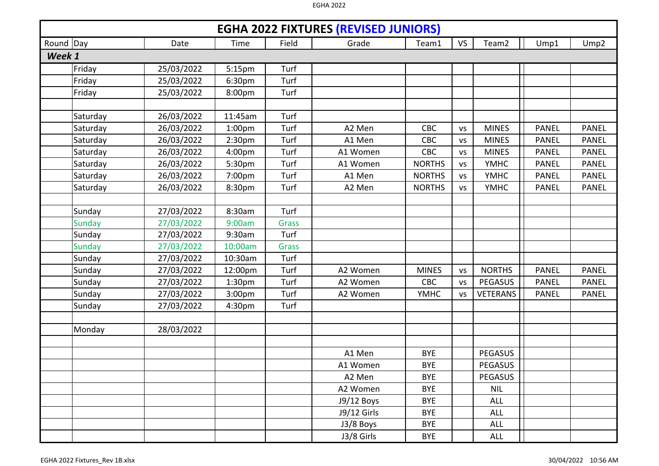|        | <b>EGHA 2022 FIXTURES (REVISED JUNIORS)</b><br>Round Day<br>Team <sub>2</sub><br>Field<br><b>VS</b><br>Ump1<br>Ump <sub>2</sub><br>Date<br>Time<br>Grade<br>Team1 |            |                    |              |             |               |           |                 |              |              |  |  |  |
|--------|-------------------------------------------------------------------------------------------------------------------------------------------------------------------|------------|--------------------|--------------|-------------|---------------|-----------|-----------------|--------------|--------------|--|--|--|
|        |                                                                                                                                                                   |            |                    |              |             |               |           |                 |              |              |  |  |  |
| Week 1 |                                                                                                                                                                   |            |                    |              |             |               |           |                 |              |              |  |  |  |
|        | Friday                                                                                                                                                            | 25/03/2022 | 5:15pm             | Turf         |             |               |           |                 |              |              |  |  |  |
|        | Friday                                                                                                                                                            | 25/03/2022 | 6:30pm             | Turf         |             |               |           |                 |              |              |  |  |  |
|        | Friday                                                                                                                                                            | 25/03/2022 | 8:00pm             | Turf         |             |               |           |                 |              |              |  |  |  |
|        |                                                                                                                                                                   |            |                    |              |             |               |           |                 |              |              |  |  |  |
|        | Saturday                                                                                                                                                          | 26/03/2022 | 11:45am            | Turf         |             |               |           |                 |              |              |  |  |  |
|        | Saturday                                                                                                                                                          | 26/03/2022 | 1:00 <sub>pm</sub> | Turf         | A2 Men      | CBC           | <b>VS</b> | <b>MINES</b>    | <b>PANEL</b> | <b>PANEL</b> |  |  |  |
|        | Saturday                                                                                                                                                          | 26/03/2022 | 2:30pm             | Turf         | A1 Men      | <b>CBC</b>    | <b>VS</b> | <b>MINES</b>    | <b>PANEL</b> | <b>PANEL</b> |  |  |  |
|        | Saturday                                                                                                                                                          | 26/03/2022 | 4:00pm             | Turf         | A1 Women    | CBC           | VS        | <b>MINES</b>    | <b>PANEL</b> | <b>PANEL</b> |  |  |  |
|        | Saturday                                                                                                                                                          | 26/03/2022 | 5:30pm             | Turf         | A1 Women    | <b>NORTHS</b> | <b>VS</b> | <b>YMHC</b>     | <b>PANEL</b> | <b>PANEL</b> |  |  |  |
|        | Saturday                                                                                                                                                          | 26/03/2022 | 7:00pm             | Turf         | A1 Men      | <b>NORTHS</b> | <b>VS</b> | <b>YMHC</b>     | <b>PANEL</b> | <b>PANEL</b> |  |  |  |
|        | Saturday                                                                                                                                                          | 26/03/2022 | 8:30pm             | Turf         | A2 Men      | <b>NORTHS</b> | <b>VS</b> | <b>YMHC</b>     | <b>PANEL</b> | <b>PANEL</b> |  |  |  |
|        |                                                                                                                                                                   |            |                    |              |             |               |           |                 |              |              |  |  |  |
|        | Sunday                                                                                                                                                            | 27/03/2022 | 8:30am             | Turf         |             |               |           |                 |              |              |  |  |  |
|        | <b>Sunday</b>                                                                                                                                                     | 27/03/2022 | 9:00am             | <b>Grass</b> |             |               |           |                 |              |              |  |  |  |
|        | Sunday                                                                                                                                                            | 27/03/2022 | 9:30am             | Turf         |             |               |           |                 |              |              |  |  |  |
|        | <b>Sunday</b>                                                                                                                                                     | 27/03/2022 | 10:00am            | <b>Grass</b> |             |               |           |                 |              |              |  |  |  |
|        | Sunday                                                                                                                                                            | 27/03/2022 | 10:30am            | Turf         |             |               |           |                 |              |              |  |  |  |
|        | Sunday                                                                                                                                                            | 27/03/2022 | 12:00pm            | Turf         | A2 Women    | <b>MINES</b>  | <b>VS</b> | <b>NORTHS</b>   | <b>PANEL</b> | <b>PANEL</b> |  |  |  |
|        | Sunday                                                                                                                                                            | 27/03/2022 | 1:30 <sub>pm</sub> | Turf         | A2 Women    | CBC           | VS        | <b>PEGASUS</b>  | <b>PANEL</b> | <b>PANEL</b> |  |  |  |
|        | Sunday                                                                                                                                                            | 27/03/2022 | 3:00pm             | Turf         | A2 Women    | <b>YMHC</b>   | <b>VS</b> | <b>VETERANS</b> | <b>PANEL</b> | <b>PANEL</b> |  |  |  |
|        | Sunday                                                                                                                                                            | 27/03/2022 | 4:30pm             | Turf         |             |               |           |                 |              |              |  |  |  |
|        |                                                                                                                                                                   |            |                    |              |             |               |           |                 |              |              |  |  |  |
|        | Monday                                                                                                                                                            | 28/03/2022 |                    |              |             |               |           |                 |              |              |  |  |  |
|        |                                                                                                                                                                   |            |                    |              |             |               |           |                 |              |              |  |  |  |
|        |                                                                                                                                                                   |            |                    |              | A1 Men      | <b>BYE</b>    |           | PEGASUS         |              |              |  |  |  |
|        |                                                                                                                                                                   |            |                    |              | A1 Women    | <b>BYE</b>    |           | <b>PEGASUS</b>  |              |              |  |  |  |
|        |                                                                                                                                                                   |            |                    |              | A2 Men      | <b>BYE</b>    |           | <b>PEGASUS</b>  |              |              |  |  |  |
|        |                                                                                                                                                                   |            |                    |              | A2 Women    | <b>BYE</b>    |           | <b>NIL</b>      |              |              |  |  |  |
|        |                                                                                                                                                                   |            |                    |              | J9/12 Boys  | <b>BYE</b>    |           | <b>ALL</b>      |              |              |  |  |  |
|        |                                                                                                                                                                   |            |                    |              | J9/12 Girls | <b>BYE</b>    |           | <b>ALL</b>      |              |              |  |  |  |
|        |                                                                                                                                                                   |            |                    |              | J3/8 Boys   | <b>BYE</b>    |           | <b>ALL</b>      |              |              |  |  |  |
|        |                                                                                                                                                                   |            |                    |              | J3/8 Girls  | <b>BYE</b>    |           | <b>ALL</b>      |              |              |  |  |  |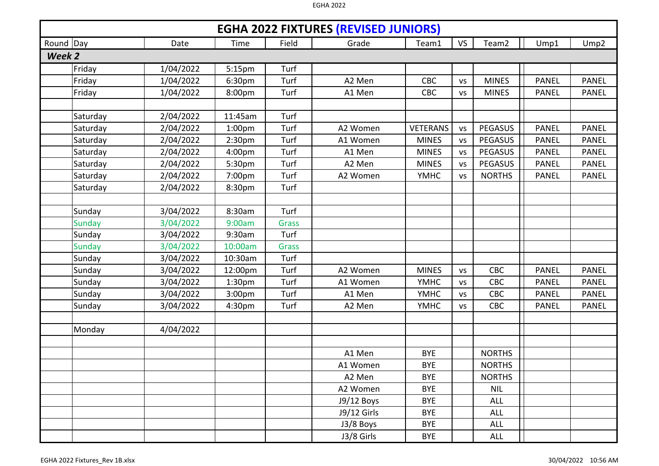|        | <b>EGHA 2022 FIXTURES (REVISED JUNIORS)</b><br>Round Day<br>Team <sub>2</sub><br>Field<br><b>VS</b><br>Ump1<br>Ump <sub>2</sub><br>Date<br>Time<br>Grade<br>Team1 |           |                    |              |             |                 |           |               |              |              |  |  |  |
|--------|-------------------------------------------------------------------------------------------------------------------------------------------------------------------|-----------|--------------------|--------------|-------------|-----------------|-----------|---------------|--------------|--------------|--|--|--|
|        |                                                                                                                                                                   |           |                    |              |             |                 |           |               |              |              |  |  |  |
| Week 2 |                                                                                                                                                                   |           |                    |              |             |                 |           |               |              |              |  |  |  |
|        | Friday                                                                                                                                                            | 1/04/2022 | 5:15pm             | Turf         |             |                 |           |               |              |              |  |  |  |
|        | Friday                                                                                                                                                            | 1/04/2022 | 6:30pm             | Turf         | A2 Men      | <b>CBC</b>      | <b>VS</b> | <b>MINES</b>  | <b>PANEL</b> | <b>PANEL</b> |  |  |  |
|        | Friday                                                                                                                                                            | 1/04/2022 | 8:00pm             | Turf         | A1 Men      | <b>CBC</b>      | <b>VS</b> | <b>MINES</b>  | <b>PANEL</b> | <b>PANEL</b> |  |  |  |
|        |                                                                                                                                                                   |           |                    |              |             |                 |           |               |              |              |  |  |  |
|        | Saturday                                                                                                                                                          | 2/04/2022 | 11:45am            | Turf         |             |                 |           |               |              |              |  |  |  |
|        | Saturday                                                                                                                                                          | 2/04/2022 | 1:00 <sub>pm</sub> | Turf         | A2 Women    | <b>VETERANS</b> | <b>VS</b> | PEGASUS       | <b>PANEL</b> | <b>PANEL</b> |  |  |  |
|        | Saturday                                                                                                                                                          | 2/04/2022 | 2:30 <sub>pm</sub> | Turf         | A1 Women    | <b>MINES</b>    | <b>VS</b> | PEGASUS       | <b>PANEL</b> | <b>PANEL</b> |  |  |  |
|        | Saturday                                                                                                                                                          | 2/04/2022 | 4:00pm             | Turf         | A1 Men      | <b>MINES</b>    | <b>VS</b> | PEGASUS       | <b>PANEL</b> | <b>PANEL</b> |  |  |  |
|        | Saturday                                                                                                                                                          | 2/04/2022 | 5:30pm             | Turf         | A2 Men      | <b>MINES</b>    | <b>VS</b> | PEGASUS       | <b>PANEL</b> | <b>PANEL</b> |  |  |  |
|        | Saturday                                                                                                                                                          | 2/04/2022 | 7:00pm             | Turf         | A2 Women    | <b>YMHC</b>     | <b>VS</b> | <b>NORTHS</b> | <b>PANEL</b> | <b>PANEL</b> |  |  |  |
|        | Saturday                                                                                                                                                          | 2/04/2022 | 8:30pm             | Turf         |             |                 |           |               |              |              |  |  |  |
|        |                                                                                                                                                                   |           |                    |              |             |                 |           |               |              |              |  |  |  |
|        | Sunday                                                                                                                                                            | 3/04/2022 | 8:30am             | Turf         |             |                 |           |               |              |              |  |  |  |
|        | <b>Sunday</b>                                                                                                                                                     | 3/04/2022 | 9:00am             | <b>Grass</b> |             |                 |           |               |              |              |  |  |  |
|        | Sunday                                                                                                                                                            | 3/04/2022 | 9:30am             | Turf         |             |                 |           |               |              |              |  |  |  |
|        | <b>Sunday</b>                                                                                                                                                     | 3/04/2022 | 10:00am            | <b>Grass</b> |             |                 |           |               |              |              |  |  |  |
|        | Sunday                                                                                                                                                            | 3/04/2022 | 10:30am            | Turf         |             |                 |           |               |              |              |  |  |  |
|        | Sunday                                                                                                                                                            | 3/04/2022 | 12:00pm            | Turf         | A2 Women    | <b>MINES</b>    | <b>VS</b> | <b>CBC</b>    | <b>PANEL</b> | <b>PANEL</b> |  |  |  |
|        | Sunday                                                                                                                                                            | 3/04/2022 | 1:30 <sub>pm</sub> | Turf         | A1 Women    | <b>YMHC</b>     | <b>VS</b> | CBC           | <b>PANEL</b> | <b>PANEL</b> |  |  |  |
|        | Sunday                                                                                                                                                            | 3/04/2022 | 3:00pm             | Turf         | A1 Men      | <b>YMHC</b>     | <b>VS</b> | CBC           | <b>PANEL</b> | <b>PANEL</b> |  |  |  |
|        | Sunday                                                                                                                                                            | 3/04/2022 | 4:30pm             | Turf         | A2 Men      | <b>YMHC</b>     | <b>VS</b> | <b>CBC</b>    | <b>PANEL</b> | <b>PANEL</b> |  |  |  |
|        |                                                                                                                                                                   |           |                    |              |             |                 |           |               |              |              |  |  |  |
|        | Monday                                                                                                                                                            | 4/04/2022 |                    |              |             |                 |           |               |              |              |  |  |  |
|        |                                                                                                                                                                   |           |                    |              |             |                 |           |               |              |              |  |  |  |
|        |                                                                                                                                                                   |           |                    |              | A1 Men      | <b>BYE</b>      |           | <b>NORTHS</b> |              |              |  |  |  |
|        |                                                                                                                                                                   |           |                    |              | A1 Women    | <b>BYE</b>      |           | <b>NORTHS</b> |              |              |  |  |  |
|        |                                                                                                                                                                   |           |                    |              | A2 Men      | <b>BYE</b>      |           | <b>NORTHS</b> |              |              |  |  |  |
|        |                                                                                                                                                                   |           |                    |              | A2 Women    | <b>BYE</b>      |           | <b>NIL</b>    |              |              |  |  |  |
|        |                                                                                                                                                                   |           |                    |              | J9/12 Boys  | <b>BYE</b>      |           | <b>ALL</b>    |              |              |  |  |  |
|        |                                                                                                                                                                   |           |                    |              | J9/12 Girls | <b>BYE</b>      |           | <b>ALL</b>    |              |              |  |  |  |
|        |                                                                                                                                                                   |           |                    |              | J3/8 Boys   | <b>BYE</b>      |           | <b>ALL</b>    |              |              |  |  |  |
|        |                                                                                                                                                                   |           |                    |              | J3/8 Girls  | <b>BYE</b>      |           | <b>ALL</b>    |              |              |  |  |  |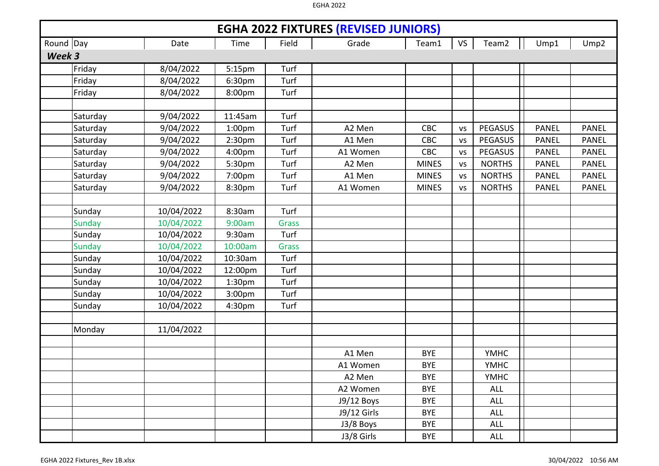|        | <b>EGHA 2022 FIXTURES (REVISED JUNIORS)</b><br>Round Day<br>Ump2<br>Date<br>Field<br>Grade<br>VS<br>Team2<br>Time<br>Team1<br>Ump1 |            |                    |              |             |              |           |                |              |              |  |  |  |
|--------|------------------------------------------------------------------------------------------------------------------------------------|------------|--------------------|--------------|-------------|--------------|-----------|----------------|--------------|--------------|--|--|--|
|        |                                                                                                                                    |            |                    |              |             |              |           |                |              |              |  |  |  |
| Week 3 |                                                                                                                                    |            |                    |              |             |              |           |                |              |              |  |  |  |
|        | Friday                                                                                                                             | 8/04/2022  | 5:15pm             | Turf         |             |              |           |                |              |              |  |  |  |
|        | Friday                                                                                                                             | 8/04/2022  | 6:30pm             | Turf         |             |              |           |                |              |              |  |  |  |
|        | Friday                                                                                                                             | 8/04/2022  | 8:00pm             | Turf         |             |              |           |                |              |              |  |  |  |
|        |                                                                                                                                    |            |                    |              |             |              |           |                |              |              |  |  |  |
|        | Saturday                                                                                                                           | 9/04/2022  | 11:45am            | Turf         |             |              |           |                |              |              |  |  |  |
|        | Saturday                                                                                                                           | 9/04/2022  | 1:00 <sub>pm</sub> | Turf         | A2 Men      | CBC          | <b>VS</b> | PEGASUS        | <b>PANEL</b> | <b>PANEL</b> |  |  |  |
|        | Saturday                                                                                                                           | 9/04/2022  | 2:30pm             | Turf         | A1 Men      | CBC          | <b>VS</b> | <b>PEGASUS</b> | <b>PANEL</b> | <b>PANEL</b> |  |  |  |
|        | Saturday                                                                                                                           | 9/04/2022  | 4:00pm             | Turf         | A1 Women    | CBC          | <b>VS</b> | PEGASUS        | <b>PANEL</b> | <b>PANEL</b> |  |  |  |
|        | Saturday                                                                                                                           | 9/04/2022  | 5:30pm             | Turf         | A2 Men      | <b>MINES</b> | <b>VS</b> | <b>NORTHS</b>  | <b>PANEL</b> | <b>PANEL</b> |  |  |  |
|        | Saturday                                                                                                                           | 9/04/2022  | 7:00pm             | Turf         | A1 Men      | <b>MINES</b> | <b>VS</b> | <b>NORTHS</b>  | <b>PANEL</b> | <b>PANEL</b> |  |  |  |
|        | Saturday                                                                                                                           | 9/04/2022  | 8:30pm             | Turf         | A1 Women    | <b>MINES</b> | <b>VS</b> | <b>NORTHS</b>  | <b>PANEL</b> | PANEL        |  |  |  |
|        |                                                                                                                                    |            |                    |              |             |              |           |                |              |              |  |  |  |
|        | Sunday                                                                                                                             | 10/04/2022 | 8:30am             | Turf         |             |              |           |                |              |              |  |  |  |
|        | <b>Sunday</b>                                                                                                                      | 10/04/2022 | 9:00am             | <b>Grass</b> |             |              |           |                |              |              |  |  |  |
|        | Sunday                                                                                                                             | 10/04/2022 | 9:30am             | Turf         |             |              |           |                |              |              |  |  |  |
|        | <b>Sunday</b>                                                                                                                      | 10/04/2022 | 10:00am            | <b>Grass</b> |             |              |           |                |              |              |  |  |  |
|        | Sunday                                                                                                                             | 10/04/2022 | 10:30am            | Turf         |             |              |           |                |              |              |  |  |  |
|        | Sunday                                                                                                                             | 10/04/2022 | 12:00pm            | Turf         |             |              |           |                |              |              |  |  |  |
|        | Sunday                                                                                                                             | 10/04/2022 | 1:30pm             | Turf         |             |              |           |                |              |              |  |  |  |
|        | Sunday                                                                                                                             | 10/04/2022 | 3:00pm             | Turf         |             |              |           |                |              |              |  |  |  |
|        | Sunday                                                                                                                             | 10/04/2022 | 4:30pm             | Turf         |             |              |           |                |              |              |  |  |  |
|        |                                                                                                                                    |            |                    |              |             |              |           |                |              |              |  |  |  |
|        | Monday                                                                                                                             | 11/04/2022 |                    |              |             |              |           |                |              |              |  |  |  |
|        |                                                                                                                                    |            |                    |              |             |              |           |                |              |              |  |  |  |
|        |                                                                                                                                    |            |                    |              | A1 Men      | <b>BYE</b>   |           | <b>YMHC</b>    |              |              |  |  |  |
|        |                                                                                                                                    |            |                    |              | A1 Women    | <b>BYE</b>   |           | <b>YMHC</b>    |              |              |  |  |  |
|        |                                                                                                                                    |            |                    |              | A2 Men      | <b>BYE</b>   |           | <b>YMHC</b>    |              |              |  |  |  |
|        |                                                                                                                                    |            |                    |              | A2 Women    | <b>BYE</b>   |           | ALL            |              |              |  |  |  |
|        |                                                                                                                                    |            |                    |              | J9/12 Boys  | <b>BYE</b>   |           | ALL            |              |              |  |  |  |
|        |                                                                                                                                    |            |                    |              | J9/12 Girls | <b>BYE</b>   |           | ALL            |              |              |  |  |  |
|        |                                                                                                                                    |            |                    |              | J3/8 Boys   | <b>BYE</b>   |           | ALL            |              |              |  |  |  |
|        |                                                                                                                                    |            |                    |              | J3/8 Girls  | <b>BYE</b>   |           | ALL            |              |              |  |  |  |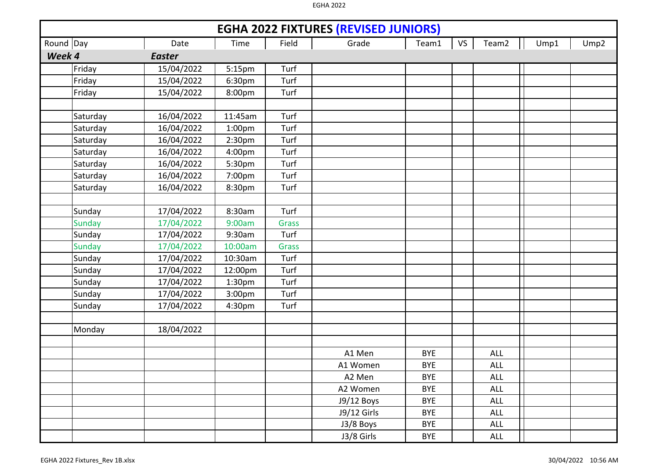|           |               |               |                    |              | <b>EGHA 2022 FIXTURES (REVISED JUNIORS)</b> |            |    |                   |      |      |
|-----------|---------------|---------------|--------------------|--------------|---------------------------------------------|------------|----|-------------------|------|------|
| Round Day |               | Date          | Time               | Field        | Grade                                       | Team1      | VS | Team <sub>2</sub> | Ump1 | Ump2 |
| Week 4    |               | <b>Easter</b> |                    |              |                                             |            |    |                   |      |      |
|           | Friday        | 15/04/2022    | 5:15pm             | Turf         |                                             |            |    |                   |      |      |
|           | Friday        | 15/04/2022    | 6:30pm             | Turf         |                                             |            |    |                   |      |      |
|           | Friday        | 15/04/2022    | 8:00pm             | Turf         |                                             |            |    |                   |      |      |
|           |               |               |                    |              |                                             |            |    |                   |      |      |
|           | Saturday      | 16/04/2022    | 11:45am            | Turf         |                                             |            |    |                   |      |      |
|           | Saturday      | 16/04/2022    | 1:00 <sub>pm</sub> | Turf         |                                             |            |    |                   |      |      |
|           | Saturday      | 16/04/2022    | 2:30 <sub>pm</sub> | Turf         |                                             |            |    |                   |      |      |
|           | Saturday      | 16/04/2022    | 4:00pm             | Turf         |                                             |            |    |                   |      |      |
|           | Saturday      | 16/04/2022    | 5:30pm             | Turf         |                                             |            |    |                   |      |      |
|           | Saturday      | 16/04/2022    | 7:00pm             | Turf         |                                             |            |    |                   |      |      |
|           | Saturday      | 16/04/2022    | 8:30pm             | Turf         |                                             |            |    |                   |      |      |
|           |               |               |                    |              |                                             |            |    |                   |      |      |
|           | Sunday        | 17/04/2022    | 8:30am             | Turf         |                                             |            |    |                   |      |      |
|           | <b>Sunday</b> | 17/04/2022    | 9:00am             | <b>Grass</b> |                                             |            |    |                   |      |      |
|           | Sunday        | 17/04/2022    | 9:30am             | Turf         |                                             |            |    |                   |      |      |
|           | <b>Sunday</b> | 17/04/2022    | 10:00am            | Grass        |                                             |            |    |                   |      |      |
|           | Sunday        | 17/04/2022    | 10:30am            | Turf         |                                             |            |    |                   |      |      |
|           | Sunday        | 17/04/2022    | 12:00pm            | Turf         |                                             |            |    |                   |      |      |
|           | Sunday        | 17/04/2022    | 1:30pm             | Turf         |                                             |            |    |                   |      |      |
|           | Sunday        | 17/04/2022    | 3:00pm             | Turf         |                                             |            |    |                   |      |      |
|           | Sunday        | 17/04/2022    | 4:30pm             | Turf         |                                             |            |    |                   |      |      |
|           |               |               |                    |              |                                             |            |    |                   |      |      |
|           | Monday        | 18/04/2022    |                    |              |                                             |            |    |                   |      |      |
|           |               |               |                    |              |                                             |            |    |                   |      |      |
|           |               |               |                    |              | A1 Men                                      | <b>BYE</b> |    | <b>ALL</b>        |      |      |
|           |               |               |                    |              | A1 Women                                    | <b>BYE</b> |    | <b>ALL</b>        |      |      |
|           |               |               |                    |              | A2 Men                                      | <b>BYE</b> |    | <b>ALL</b>        |      |      |
|           |               |               |                    |              | A2 Women                                    | <b>BYE</b> |    | <b>ALL</b>        |      |      |
|           |               |               |                    |              | J9/12 Boys                                  | <b>BYE</b> |    | ALL               |      |      |
|           |               |               |                    |              | J9/12 Girls                                 | <b>BYE</b> |    | ALL               |      |      |
|           |               |               |                    |              | J3/8 Boys                                   | <b>BYE</b> |    | <b>ALL</b>        |      |      |
|           |               |               |                    |              | J3/8 Girls                                  | <b>BYE</b> |    | <b>ALL</b>        |      |      |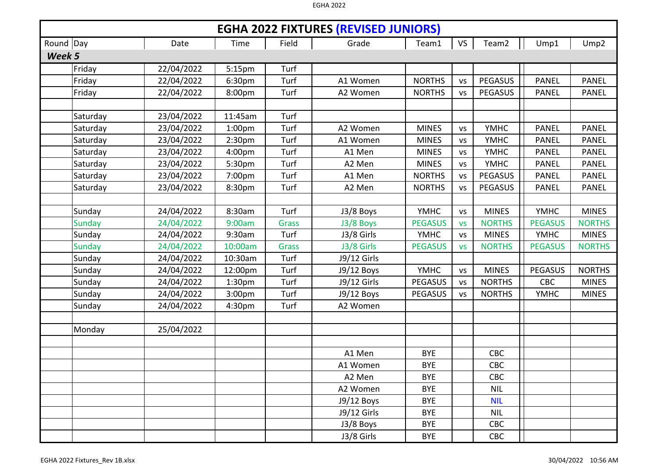|           | <b>EGHA 2022 FIXTURES (REVISED JUNIORS)</b> |            |                    |              |              |                |           |                |                |                  |  |  |
|-----------|---------------------------------------------|------------|--------------------|--------------|--------------|----------------|-----------|----------------|----------------|------------------|--|--|
| Round Day |                                             | Date       | Time               | Field        | Grade        | Team1          | <b>VS</b> | Team2          | Ump1           | Ump <sub>2</sub> |  |  |
| Week 5    |                                             |            |                    |              |              |                |           |                |                |                  |  |  |
|           | Friday                                      | 22/04/2022 | 5:15pm             | Turf         |              |                |           |                |                |                  |  |  |
|           | Friday                                      | 22/04/2022 | 6:30pm             | Turf         | A1 Women     | <b>NORTHS</b>  | <b>VS</b> | <b>PEGASUS</b> | <b>PANEL</b>   | <b>PANEL</b>     |  |  |
|           | Friday                                      | 22/04/2022 | 8:00pm             | Turf         | A2 Women     | <b>NORTHS</b>  | <b>VS</b> | <b>PEGASUS</b> | <b>PANEL</b>   | <b>PANEL</b>     |  |  |
|           |                                             |            |                    |              |              |                |           |                |                |                  |  |  |
|           | Saturday                                    | 23/04/2022 | 11:45am            | Turf         |              |                |           |                |                |                  |  |  |
|           | Saturday                                    | 23/04/2022 | 1:00 <sub>pm</sub> | Turf         | A2 Women     | <b>MINES</b>   | <b>VS</b> | <b>YMHC</b>    | <b>PANEL</b>   | <b>PANEL</b>     |  |  |
|           | Saturday                                    | 23/04/2022 | 2:30 <sub>pm</sub> | Turf         | A1 Women     | <b>MINES</b>   | <b>VS</b> | <b>YMHC</b>    | <b>PANEL</b>   | <b>PANEL</b>     |  |  |
|           | Saturday                                    | 23/04/2022 | 4:00pm             | Turf         | A1 Men       | <b>MINES</b>   | <b>VS</b> | <b>YMHC</b>    | <b>PANEL</b>   | <b>PANEL</b>     |  |  |
|           | Saturday                                    | 23/04/2022 | 5:30pm             | Turf         | A2 Men       | <b>MINES</b>   | <b>VS</b> | <b>YMHC</b>    | <b>PANEL</b>   | <b>PANEL</b>     |  |  |
|           | Saturday                                    | 23/04/2022 | 7:00pm             | Turf         | A1 Men       | <b>NORTHS</b>  | <b>VS</b> | <b>PEGASUS</b> | <b>PANEL</b>   | <b>PANEL</b>     |  |  |
|           | Saturday                                    | 23/04/2022 | 8:30pm             | Turf         | A2 Men       | <b>NORTHS</b>  | <b>VS</b> | PEGASUS        | <b>PANEL</b>   | <b>PANEL</b>     |  |  |
|           |                                             |            |                    |              |              |                |           |                |                |                  |  |  |
|           | Sunday                                      | 24/04/2022 | 8:30am             | Turf         | J3/8 Boys    | <b>YMHC</b>    | <b>VS</b> | <b>MINES</b>   | <b>YMHC</b>    | <b>MINES</b>     |  |  |
|           | <b>Sunday</b>                               | 24/04/2022 | 9:00am             | <b>Grass</b> | J3/8 Boys    | <b>PEGASUS</b> | <b>VS</b> | <b>NORTHS</b>  | <b>PEGASUS</b> | <b>NORTHS</b>    |  |  |
|           | Sunday                                      | 24/04/2022 | 9:30am             | Turf         | J3/8 Girls   | <b>YMHC</b>    | <b>VS</b> | <b>MINES</b>   | <b>YMHC</b>    | <b>MINES</b>     |  |  |
|           | <b>Sunday</b>                               | 24/04/2022 | 10:00am            | <b>Grass</b> | J3/8 Girls   | <b>PEGASUS</b> | <b>VS</b> | <b>NORTHS</b>  | <b>PEGASUS</b> | <b>NORTHS</b>    |  |  |
|           | Sunday                                      | 24/04/2022 | 10:30am            | Turf         | J9/12 Girls  |                |           |                |                |                  |  |  |
|           | Sunday                                      | 24/04/2022 | 12:00pm            | Turf         | J9/12 Boys   | <b>YMHC</b>    | <b>VS</b> | <b>MINES</b>   | <b>PEGASUS</b> | <b>NORTHS</b>    |  |  |
|           | Sunday                                      | 24/04/2022 | 1:30 <sub>pm</sub> | Turf         | J9/12 Girls  | <b>PEGASUS</b> | <b>VS</b> | <b>NORTHS</b>  | CBC            | <b>MINES</b>     |  |  |
|           | Sunday                                      | 24/04/2022 | 3:00pm             | Turf         | J9/12 Boys   | <b>PEGASUS</b> | <b>VS</b> | <b>NORTHS</b>  | <b>YMHC</b>    | <b>MINES</b>     |  |  |
|           | Sunday                                      | 24/04/2022 | 4:30pm             | Turf         | A2 Women     |                |           |                |                |                  |  |  |
|           |                                             |            |                    |              |              |                |           |                |                |                  |  |  |
|           | Monday                                      | 25/04/2022 |                    |              |              |                |           |                |                |                  |  |  |
|           |                                             |            |                    |              |              |                |           |                |                |                  |  |  |
|           |                                             |            |                    |              | A1 Men       | <b>BYE</b>     |           | <b>CBC</b>     |                |                  |  |  |
|           |                                             |            |                    |              | A1 Women     | <b>BYE</b>     |           | CBC            |                |                  |  |  |
|           |                                             |            |                    |              | A2 Men       | <b>BYE</b>     |           | CBC            |                |                  |  |  |
|           |                                             |            |                    |              | A2 Women     | <b>BYE</b>     |           | <b>NIL</b>     |                |                  |  |  |
|           |                                             |            |                    |              | $J9/12$ Boys | <b>BYE</b>     |           | <b>NIL</b>     |                |                  |  |  |
|           |                                             |            |                    |              | J9/12 Girls  | <b>BYE</b>     |           | <b>NIL</b>     |                |                  |  |  |
|           |                                             |            |                    |              | J3/8 Boys    | <b>BYE</b>     |           | CBC            |                |                  |  |  |
|           |                                             |            |                    |              | J3/8 Girls   | <b>BYE</b>     |           | <b>CBC</b>     |                |                  |  |  |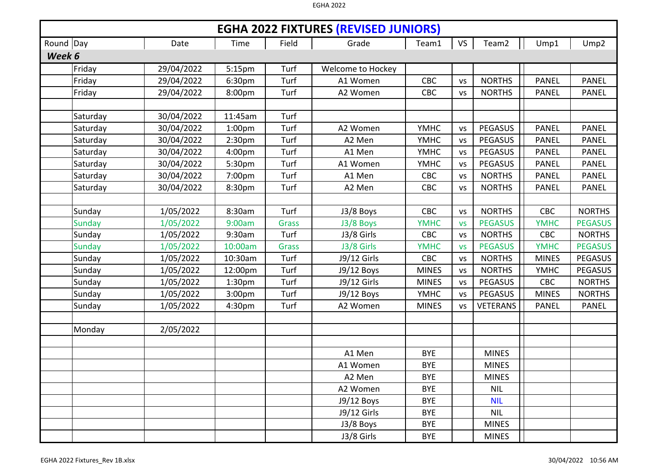|           | <b>EGHA 2022 FIXTURES (REVISED JUNIORS)</b><br><b>VS</b><br>Field<br>Date<br>Time<br>Grade<br>Ump1<br>Team1 |            |                    |              |                   |              |           |                   |              |                  |  |  |
|-----------|-------------------------------------------------------------------------------------------------------------|------------|--------------------|--------------|-------------------|--------------|-----------|-------------------|--------------|------------------|--|--|
| Round Day |                                                                                                             |            |                    |              |                   |              |           | Team <sub>2</sub> |              | Ump <sub>2</sub> |  |  |
| Week 6    |                                                                                                             |            |                    |              |                   |              |           |                   |              |                  |  |  |
|           | Friday                                                                                                      | 29/04/2022 | 5:15pm             | Turf         | Welcome to Hockey |              |           |                   |              |                  |  |  |
|           | Friday                                                                                                      | 29/04/2022 | 6:30pm             | Turf         | A1 Women          | CBC          | <b>VS</b> | <b>NORTHS</b>     | <b>PANEL</b> | <b>PANEL</b>     |  |  |
|           | Friday                                                                                                      | 29/04/2022 | 8:00pm             | Turf         | A2 Women          | CBC          | <b>VS</b> | <b>NORTHS</b>     | <b>PANEL</b> | <b>PANEL</b>     |  |  |
|           |                                                                                                             |            |                    |              |                   |              |           |                   |              |                  |  |  |
|           | Saturday                                                                                                    | 30/04/2022 | 11:45am            | Turf         |                   |              |           |                   |              |                  |  |  |
|           | Saturday                                                                                                    | 30/04/2022 | 1:00 <sub>pm</sub> | Turf         | A2 Women          | <b>YMHC</b>  | <b>VS</b> | <b>PEGASUS</b>    | <b>PANEL</b> | <b>PANEL</b>     |  |  |
|           | Saturday                                                                                                    | 30/04/2022 | 2:30 <sub>pm</sub> | Turf         | A2 Men            | <b>YMHC</b>  | <b>VS</b> | <b>PEGASUS</b>    | <b>PANEL</b> | <b>PANEL</b>     |  |  |
|           | Saturday                                                                                                    | 30/04/2022 | 4:00pm             | Turf         | A1 Men            | <b>YMHC</b>  | <b>VS</b> | <b>PEGASUS</b>    | <b>PANEL</b> | <b>PANEL</b>     |  |  |
|           | Saturday                                                                                                    | 30/04/2022 | 5:30pm             | Turf         | A1 Women          | <b>YMHC</b>  | <b>VS</b> | <b>PEGASUS</b>    | <b>PANEL</b> | <b>PANEL</b>     |  |  |
|           | Saturday                                                                                                    | 30/04/2022 | 7:00pm             | Turf         | A1 Men            | <b>CBC</b>   | <b>VS</b> | <b>NORTHS</b>     | <b>PANEL</b> | <b>PANEL</b>     |  |  |
|           | Saturday                                                                                                    | 30/04/2022 | 8:30pm             | Turf         | A2 Men            | CBC          | <b>VS</b> | <b>NORTHS</b>     | PANEL        | <b>PANEL</b>     |  |  |
|           |                                                                                                             |            |                    |              |                   |              |           |                   |              |                  |  |  |
|           | Sunday                                                                                                      | 1/05/2022  | 8:30am             | Turf         | J3/8 Boys         | <b>CBC</b>   | <b>VS</b> | <b>NORTHS</b>     | CBC          | <b>NORTHS</b>    |  |  |
|           | <b>Sunday</b>                                                                                               | 1/05/2022  | 9:00am             | <b>Grass</b> | J3/8 Boys         | <b>YMHC</b>  | <b>VS</b> | <b>PEGASUS</b>    | <b>YMHC</b>  | <b>PEGASUS</b>   |  |  |
|           | Sunday                                                                                                      | 1/05/2022  | 9:30am             | Turf         | J3/8 Girls        | <b>CBC</b>   | <b>VS</b> | <b>NORTHS</b>     | CBC          | <b>NORTHS</b>    |  |  |
|           | <b>Sunday</b>                                                                                               | 1/05/2022  | 10:00am            | <b>Grass</b> | J3/8 Girls        | <b>YMHC</b>  | <b>VS</b> | <b>PEGASUS</b>    | <b>YMHC</b>  | <b>PEGASUS</b>   |  |  |
|           | Sunday                                                                                                      | 1/05/2022  | 10:30am            | Turf         | J9/12 Girls       | <b>CBC</b>   | <b>VS</b> | <b>NORTHS</b>     | <b>MINES</b> | <b>PEGASUS</b>   |  |  |
|           | Sunday                                                                                                      | 1/05/2022  | 12:00pm            | Turf         | J9/12 Boys        | <b>MINES</b> | <b>VS</b> | <b>NORTHS</b>     | <b>YMHC</b>  | <b>PEGASUS</b>   |  |  |
|           | Sunday                                                                                                      | 1/05/2022  | 1:30 <sub>pm</sub> | Turf         | J9/12 Girls       | <b>MINES</b> | <b>VS</b> | <b>PEGASUS</b>    | <b>CBC</b>   | <b>NORTHS</b>    |  |  |
|           | Sunday                                                                                                      | 1/05/2022  | 3:00pm             | Turf         | J9/12 Boys        | <b>YMHC</b>  | <b>VS</b> | <b>PEGASUS</b>    | <b>MINES</b> | <b>NORTHS</b>    |  |  |
|           | Sunday                                                                                                      | 1/05/2022  | 4:30pm             | Turf         | A2 Women          | <b>MINES</b> | <b>VS</b> | <b>VETERANS</b>   | <b>PANEL</b> | <b>PANEL</b>     |  |  |
|           |                                                                                                             |            |                    |              |                   |              |           |                   |              |                  |  |  |
|           | Monday                                                                                                      | 2/05/2022  |                    |              |                   |              |           |                   |              |                  |  |  |
|           |                                                                                                             |            |                    |              |                   |              |           |                   |              |                  |  |  |
|           |                                                                                                             |            |                    |              | A1 Men            | <b>BYE</b>   |           | <b>MINES</b>      |              |                  |  |  |
|           |                                                                                                             |            |                    |              | A1 Women          | <b>BYE</b>   |           | <b>MINES</b>      |              |                  |  |  |
|           |                                                                                                             |            |                    |              | A2 Men            | <b>BYE</b>   |           | <b>MINES</b>      |              |                  |  |  |
|           |                                                                                                             |            |                    |              | A2 Women          | <b>BYE</b>   |           | <b>NIL</b>        |              |                  |  |  |
|           |                                                                                                             |            |                    |              | J9/12 Boys        | <b>BYE</b>   |           | <b>NIL</b>        |              |                  |  |  |
|           |                                                                                                             |            |                    |              | J9/12 Girls       | <b>BYE</b>   |           | <b>NIL</b>        |              |                  |  |  |
|           |                                                                                                             |            |                    |              | J3/8 Boys         | <b>BYE</b>   |           | <b>MINES</b>      |              |                  |  |  |
|           |                                                                                                             |            |                    |              | J3/8 Girls        | <b>BYE</b>   |           | <b>MINES</b>      |              |                  |  |  |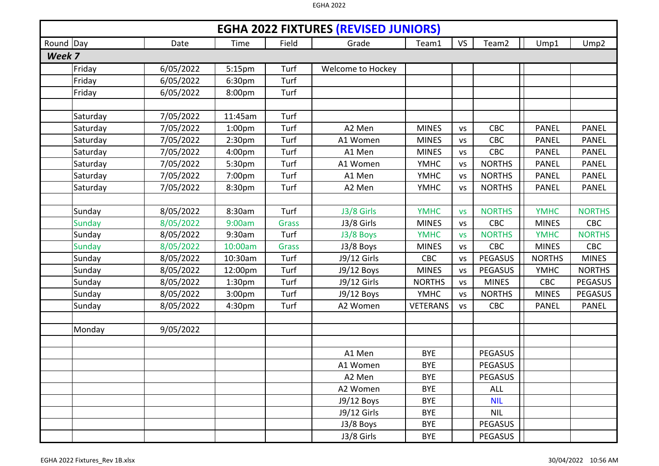|        | <b>EGHA 2022 FIXTURES (REVISED JUNIORS)</b><br>Round Day<br>Field<br><b>VS</b><br>Team <sub>2</sub><br>Ump1<br>Date<br>Time<br>Grade<br>Team1<br>Ump <sub>2</sub> |           |                    |              |                   |                 |           |                |               |                |  |  |
|--------|-------------------------------------------------------------------------------------------------------------------------------------------------------------------|-----------|--------------------|--------------|-------------------|-----------------|-----------|----------------|---------------|----------------|--|--|
|        |                                                                                                                                                                   |           |                    |              |                   |                 |           |                |               |                |  |  |
| Week 7 |                                                                                                                                                                   |           |                    |              |                   |                 |           |                |               |                |  |  |
|        | Friday                                                                                                                                                            | 6/05/2022 | 5:15pm             | Turf         | Welcome to Hockey |                 |           |                |               |                |  |  |
|        | Friday                                                                                                                                                            | 6/05/2022 | 6:30pm             | Turf         |                   |                 |           |                |               |                |  |  |
|        | Friday                                                                                                                                                            | 6/05/2022 | 8:00pm             | Turf         |                   |                 |           |                |               |                |  |  |
|        |                                                                                                                                                                   |           |                    |              |                   |                 |           |                |               |                |  |  |
|        | Saturday                                                                                                                                                          | 7/05/2022 | 11:45am            | Turf         |                   |                 |           |                |               |                |  |  |
|        | Saturday                                                                                                                                                          | 7/05/2022 | 1:00 <sub>pm</sub> | Turf         | A2 Men            | <b>MINES</b>    | <b>VS</b> | <b>CBC</b>     | <b>PANEL</b>  | <b>PANEL</b>   |  |  |
|        | Saturday                                                                                                                                                          | 7/05/2022 | 2:30 <sub>pm</sub> | Turf         | A1 Women          | <b>MINES</b>    | <b>VS</b> | CBC            | <b>PANEL</b>  | <b>PANEL</b>   |  |  |
|        | Saturday                                                                                                                                                          | 7/05/2022 | 4:00pm             | Turf         | A1 Men            | <b>MINES</b>    | <b>VS</b> | <b>CBC</b>     | <b>PANEL</b>  | <b>PANEL</b>   |  |  |
|        | Saturday                                                                                                                                                          | 7/05/2022 | 5:30pm             | Turf         | A1 Women          | <b>YMHC</b>     | <b>VS</b> | <b>NORTHS</b>  | <b>PANEL</b>  | <b>PANEL</b>   |  |  |
|        | Saturday                                                                                                                                                          | 7/05/2022 | 7:00pm             | Turf         | A1 Men            | <b>YMHC</b>     | <b>VS</b> | <b>NORTHS</b>  | <b>PANEL</b>  | <b>PANEL</b>   |  |  |
|        | Saturday                                                                                                                                                          | 7/05/2022 | 8:30pm             | Turf         | A2 Men            | <b>YMHC</b>     | <b>VS</b> | <b>NORTHS</b>  | <b>PANEL</b>  | <b>PANEL</b>   |  |  |
|        |                                                                                                                                                                   |           |                    |              |                   |                 |           |                |               |                |  |  |
|        | Sunday                                                                                                                                                            | 8/05/2022 | 8:30am             | Turf         | J3/8 Girls        | <b>YMHC</b>     | <b>VS</b> | <b>NORTHS</b>  | <b>YMHC</b>   | <b>NORTHS</b>  |  |  |
|        | <b>Sunday</b>                                                                                                                                                     | 8/05/2022 | 9:00am             | <b>Grass</b> | J3/8 Girls        | <b>MINES</b>    | <b>VS</b> | <b>CBC</b>     | <b>MINES</b>  | CBC            |  |  |
|        | Sunday                                                                                                                                                            | 8/05/2022 | 9:30am             | Turf         | J3/8 Boys         | <b>YMHC</b>     | <b>VS</b> | <b>NORTHS</b>  | <b>YMHC</b>   | <b>NORTHS</b>  |  |  |
|        | <b>Sunday</b>                                                                                                                                                     | 8/05/2022 | 10:00am            | <b>Grass</b> | J3/8 Boys         | <b>MINES</b>    | <b>VS</b> | <b>CBC</b>     | <b>MINES</b>  | CBC            |  |  |
|        | Sunday                                                                                                                                                            | 8/05/2022 | 10:30am            | Turf         | J9/12 Girls       | <b>CBC</b>      | <b>VS</b> | PEGASUS        | <b>NORTHS</b> | <b>MINES</b>   |  |  |
|        | Sunday                                                                                                                                                            | 8/05/2022 | 12:00pm            | Turf         | J9/12 Boys        | <b>MINES</b>    | <b>VS</b> | PEGASUS        | <b>YMHC</b>   | <b>NORTHS</b>  |  |  |
|        | Sunday                                                                                                                                                            | 8/05/2022 | 1:30 <sub>pm</sub> | Turf         | J9/12 Girls       | <b>NORTHS</b>   | <b>VS</b> | <b>MINES</b>   | <b>CBC</b>    | <b>PEGASUS</b> |  |  |
|        | Sunday                                                                                                                                                            | 8/05/2022 | 3:00pm             | Turf         | J9/12 Boys        | <b>YMHC</b>     | <b>VS</b> | <b>NORTHS</b>  | <b>MINES</b>  | <b>PEGASUS</b> |  |  |
|        | Sunday                                                                                                                                                            | 8/05/2022 | 4:30pm             | Turf         | A2 Women          | <b>VETERANS</b> | <b>VS</b> | <b>CBC</b>     | <b>PANEL</b>  | <b>PANEL</b>   |  |  |
|        |                                                                                                                                                                   |           |                    |              |                   |                 |           |                |               |                |  |  |
|        | Monday                                                                                                                                                            | 9/05/2022 |                    |              |                   |                 |           |                |               |                |  |  |
|        |                                                                                                                                                                   |           |                    |              |                   |                 |           |                |               |                |  |  |
|        |                                                                                                                                                                   |           |                    |              | A1 Men            | <b>BYE</b>      |           | <b>PEGASUS</b> |               |                |  |  |
|        |                                                                                                                                                                   |           |                    |              | A1 Women          | <b>BYE</b>      |           | <b>PEGASUS</b> |               |                |  |  |
|        |                                                                                                                                                                   |           |                    |              | A2 Men            | <b>BYE</b>      |           | <b>PEGASUS</b> |               |                |  |  |
|        |                                                                                                                                                                   |           |                    |              | A2 Women          | <b>BYE</b>      |           | <b>ALL</b>     |               |                |  |  |
|        |                                                                                                                                                                   |           |                    |              | J9/12 Boys        | <b>BYE</b>      |           | <b>NIL</b>     |               |                |  |  |
|        |                                                                                                                                                                   |           |                    |              | J9/12 Girls       | <b>BYE</b>      |           | <b>NIL</b>     |               |                |  |  |
|        |                                                                                                                                                                   |           |                    |              | J3/8 Boys         | <b>BYE</b>      |           | <b>PEGASUS</b> |               |                |  |  |
|        |                                                                                                                                                                   |           |                    |              | J3/8 Girls        | <b>BYE</b>      |           | <b>PEGASUS</b> |               |                |  |  |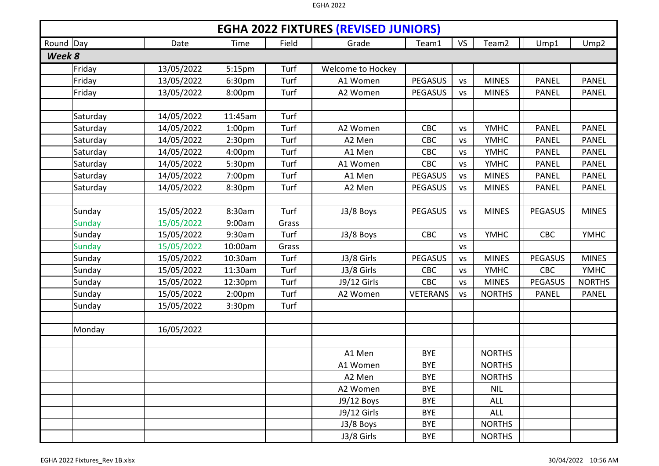|           |               |            |                    |       | <b>EGHA 2022 FIXTURES (REVISED JUNIORS)</b> |                 |           |               |                |                  |
|-----------|---------------|------------|--------------------|-------|---------------------------------------------|-----------------|-----------|---------------|----------------|------------------|
| Round Day |               | Date       | Time               | Field | Grade                                       | Team1           | <b>VS</b> | Team2         | Ump1           | Ump <sub>2</sub> |
| Week 8    |               |            |                    |       |                                             |                 |           |               |                |                  |
|           | Friday        | 13/05/2022 | 5:15 <sub>pm</sub> | Turf  | Welcome to Hockey                           |                 |           |               |                |                  |
|           | Friday        | 13/05/2022 | 6:30pm             | Turf  | A1 Women                                    | <b>PEGASUS</b>  | <b>VS</b> | <b>MINES</b>  | <b>PANEL</b>   | <b>PANEL</b>     |
|           | Friday        | 13/05/2022 | 8:00pm             | Turf  | A2 Women                                    | <b>PEGASUS</b>  | <b>VS</b> | <b>MINES</b>  | <b>PANEL</b>   | <b>PANEL</b>     |
|           |               |            |                    |       |                                             |                 |           |               |                |                  |
|           | Saturday      | 14/05/2022 | 11:45am            | Turf  |                                             |                 |           |               |                |                  |
|           | Saturday      | 14/05/2022 | 1:00 <sub>pm</sub> | Turf  | A2 Women                                    | CBC             | <b>VS</b> | <b>YMHC</b>   | <b>PANEL</b>   | <b>PANEL</b>     |
|           | Saturday      | 14/05/2022 | 2:30pm             | Turf  | A2 Men                                      | CBC             | <b>VS</b> | <b>YMHC</b>   | <b>PANEL</b>   | <b>PANEL</b>     |
|           | Saturday      | 14/05/2022 | 4:00pm             | Turf  | A1 Men                                      | CBC             | <b>VS</b> | <b>YMHC</b>   | <b>PANEL</b>   | <b>PANEL</b>     |
|           | Saturday      | 14/05/2022 | 5:30pm             | Turf  | A1 Women                                    | CBC             | <b>VS</b> | <b>YMHC</b>   | <b>PANEL</b>   | <b>PANEL</b>     |
|           | Saturday      | 14/05/2022 | 7:00pm             | Turf  | A1 Men                                      | <b>PEGASUS</b>  | <b>VS</b> | <b>MINES</b>  | <b>PANEL</b>   | <b>PANEL</b>     |
|           | Saturday      | 14/05/2022 | 8:30pm             | Turf  | A2 Men                                      | <b>PEGASUS</b>  | <b>VS</b> | <b>MINES</b>  | <b>PANEL</b>   | <b>PANEL</b>     |
|           |               |            |                    |       |                                             |                 |           |               |                |                  |
|           | Sunday        | 15/05/2022 | 8:30am             | Turf  | J3/8 Boys                                   | <b>PEGASUS</b>  | <b>VS</b> | <b>MINES</b>  | <b>PEGASUS</b> | <b>MINES</b>     |
|           | <b>Sunday</b> | 15/05/2022 | 9:00am             | Grass |                                             |                 |           |               |                |                  |
|           | Sunday        | 15/05/2022 | 9:30am             | Turf  | J3/8 Boys                                   | <b>CBC</b>      | <b>VS</b> | <b>YMHC</b>   | <b>CBC</b>     | <b>YMHC</b>      |
|           | <b>Sunday</b> | 15/05/2022 | 10:00am            | Grass |                                             |                 | <b>VS</b> |               |                |                  |
|           | Sunday        | 15/05/2022 | 10:30am            | Turf  | J3/8 Girls                                  | <b>PEGASUS</b>  | <b>VS</b> | <b>MINES</b>  | <b>PEGASUS</b> | <b>MINES</b>     |
|           | Sunday        | 15/05/2022 | 11:30am            | Turf  | J3/8 Girls                                  | CBC             | <b>VS</b> | <b>YMHC</b>   | CBC            | <b>YMHC</b>      |
|           | Sunday        | 15/05/2022 | 12:30pm            | Turf  | J9/12 Girls                                 | CBC             | <b>VS</b> | <b>MINES</b>  | PEGASUS        | <b>NORTHS</b>    |
|           | Sunday        | 15/05/2022 | 2:00 <sub>pm</sub> | Turf  | A2 Women                                    | <b>VETERANS</b> | <b>VS</b> | <b>NORTHS</b> | <b>PANEL</b>   | <b>PANEL</b>     |
|           | Sunday        | 15/05/2022 | 3:30pm             | Turf  |                                             |                 |           |               |                |                  |
|           |               |            |                    |       |                                             |                 |           |               |                |                  |
|           | Monday        | 16/05/2022 |                    |       |                                             |                 |           |               |                |                  |
|           |               |            |                    |       |                                             |                 |           |               |                |                  |
|           |               |            |                    |       | A1 Men                                      | <b>BYE</b>      |           | <b>NORTHS</b> |                |                  |
|           |               |            |                    |       | A1 Women                                    | <b>BYE</b>      |           | <b>NORTHS</b> |                |                  |
|           |               |            |                    |       | A2 Men                                      | <b>BYE</b>      |           | <b>NORTHS</b> |                |                  |
|           |               |            |                    |       | A2 Women                                    | <b>BYE</b>      |           | <b>NIL</b>    |                |                  |
|           |               |            |                    |       | J9/12 Boys                                  | <b>BYE</b>      |           | <b>ALL</b>    |                |                  |
|           |               |            |                    |       | J9/12 Girls                                 | <b>BYE</b>      |           | <b>ALL</b>    |                |                  |
|           |               |            |                    |       | J3/8 Boys                                   | <b>BYE</b>      |           | <b>NORTHS</b> |                |                  |
|           |               |            |                    |       | J3/8 Girls                                  | <b>BYE</b>      |           | <b>NORTHS</b> |                |                  |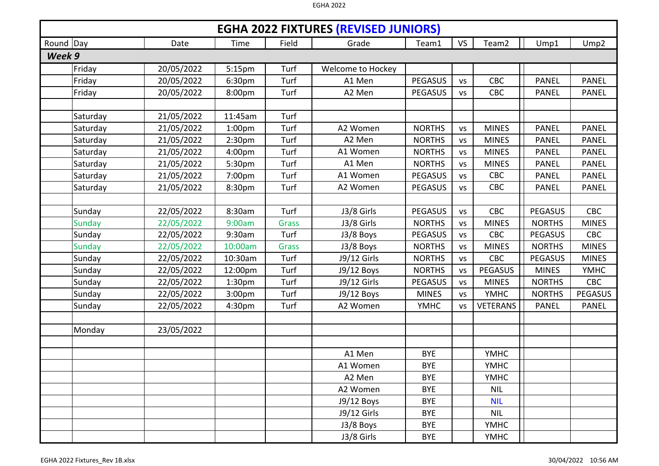|           |               |            |                    |              | <b>EGHA 2022 FIXTURES (REVISED JUNIORS)</b> |                |           |                   |                |                  |
|-----------|---------------|------------|--------------------|--------------|---------------------------------------------|----------------|-----------|-------------------|----------------|------------------|
| Round Day |               | Date       | Time               | Field        | Grade                                       | Team1          | <b>VS</b> | Team <sub>2</sub> | Ump1           | Ump <sub>2</sub> |
| Week 9    |               |            |                    |              |                                             |                |           |                   |                |                  |
|           | Friday        | 20/05/2022 | 5:15pm             | Turf         | Welcome to Hockey                           |                |           |                   |                |                  |
|           | Friday        | 20/05/2022 | 6:30pm             | Turf         | A1 Men                                      | <b>PEGASUS</b> | <b>VS</b> | CBC               | <b>PANEL</b>   | <b>PANEL</b>     |
|           | Friday        | 20/05/2022 | 8:00pm             | Turf         | A2 Men                                      | <b>PEGASUS</b> | <b>VS</b> | CBC               | <b>PANEL</b>   | <b>PANEL</b>     |
|           |               |            |                    |              |                                             |                |           |                   |                |                  |
|           | Saturday      | 21/05/2022 | 11:45am            | Turf         |                                             |                |           |                   |                |                  |
|           | Saturday      | 21/05/2022 | 1:00 <sub>pm</sub> | Turf         | A2 Women                                    | <b>NORTHS</b>  | <b>VS</b> | <b>MINES</b>      | <b>PANEL</b>   | <b>PANEL</b>     |
|           | Saturday      | 21/05/2022 | 2:30 <sub>pm</sub> | Turf         | A2 Men                                      | <b>NORTHS</b>  | <b>VS</b> | <b>MINES</b>      | <b>PANEL</b>   | <b>PANEL</b>     |
|           | Saturday      | 21/05/2022 | 4:00pm             | Turf         | A1 Women                                    | <b>NORTHS</b>  | <b>VS</b> | <b>MINES</b>      | <b>PANEL</b>   | <b>PANEL</b>     |
|           | Saturday      | 21/05/2022 | 5:30pm             | Turf         | A1 Men                                      | <b>NORTHS</b>  | <b>VS</b> | <b>MINES</b>      | <b>PANEL</b>   | <b>PANEL</b>     |
|           | Saturday      | 21/05/2022 | 7:00pm             | Turf         | A1 Women                                    | <b>PEGASUS</b> | <b>VS</b> | <b>CBC</b>        | <b>PANEL</b>   | <b>PANEL</b>     |
|           | Saturday      | 21/05/2022 | 8:30pm             | Turf         | A2 Women                                    | <b>PEGASUS</b> | <b>VS</b> | CBC               | <b>PANEL</b>   | <b>PANEL</b>     |
|           |               |            |                    |              |                                             |                |           |                   |                |                  |
|           | Sunday        | 22/05/2022 | 8:30am             | Turf         | J3/8 Girls                                  | <b>PEGASUS</b> | <b>VS</b> | CBC               | <b>PEGASUS</b> | CBC              |
|           | <b>Sunday</b> | 22/05/2022 | 9:00am             | <b>Grass</b> | J3/8 Girls                                  | <b>NORTHS</b>  | <b>VS</b> | <b>MINES</b>      | <b>NORTHS</b>  | <b>MINES</b>     |
|           | Sunday        | 22/05/2022 | 9:30am             | Turf         | J3/8 Boys                                   | <b>PEGASUS</b> | <b>VS</b> | <b>CBC</b>        | PEGASUS        | <b>CBC</b>       |
|           | Sunday        | 22/05/2022 | 10:00am            | <b>Grass</b> | J3/8 Boys                                   | <b>NORTHS</b>  | <b>VS</b> | <b>MINES</b>      | <b>NORTHS</b>  | <b>MINES</b>     |
|           | Sunday        | 22/05/2022 | 10:30am            | Turf         | J9/12 Girls                                 | <b>NORTHS</b>  | <b>VS</b> | CBC               | <b>PEGASUS</b> | <b>MINES</b>     |
|           | Sunday        | 22/05/2022 | 12:00pm            | Turf         | J9/12 Boys                                  | <b>NORTHS</b>  | <b>VS</b> | <b>PEGASUS</b>    | <b>MINES</b>   | <b>YMHC</b>      |
|           | Sunday        | 22/05/2022 | 1:30 <sub>pm</sub> | Turf         | J9/12 Girls                                 | PEGASUS        | <b>VS</b> | <b>MINES</b>      | <b>NORTHS</b>  | <b>CBC</b>       |
|           | Sunday        | 22/05/2022 | 3:00 <sub>pm</sub> | Turf         | J9/12 Boys                                  | <b>MINES</b>   | <b>VS</b> | <b>YMHC</b>       | <b>NORTHS</b>  | <b>PEGASUS</b>   |
|           | Sunday        | 22/05/2022 | 4:30pm             | Turf         | A2 Women                                    | <b>YMHC</b>    | <b>VS</b> | <b>VETERANS</b>   | <b>PANEL</b>   | <b>PANEL</b>     |
|           |               |            |                    |              |                                             |                |           |                   |                |                  |
|           | Monday        | 23/05/2022 |                    |              |                                             |                |           |                   |                |                  |
|           |               |            |                    |              |                                             |                |           |                   |                |                  |
|           |               |            |                    |              | A1 Men                                      | <b>BYE</b>     |           | <b>YMHC</b>       |                |                  |
|           |               |            |                    |              | A1 Women                                    | <b>BYE</b>     |           | <b>YMHC</b>       |                |                  |
|           |               |            |                    |              | A2 Men                                      | <b>BYE</b>     |           | <b>YMHC</b>       |                |                  |
|           |               |            |                    |              | A2 Women                                    | <b>BYE</b>     |           | <b>NIL</b>        |                |                  |
|           |               |            |                    |              | J9/12 Boys                                  | <b>BYE</b>     |           | <b>NIL</b>        |                |                  |
|           |               |            |                    |              | J9/12 Girls                                 | <b>BYE</b>     |           | <b>NIL</b>        |                |                  |
|           |               |            |                    |              | J3/8 Boys                                   | <b>BYE</b>     |           | <b>YMHC</b>       |                |                  |
|           |               |            |                    |              | J3/8 Girls                                  | <b>BYE</b>     |           | <b>YMHC</b>       |                |                  |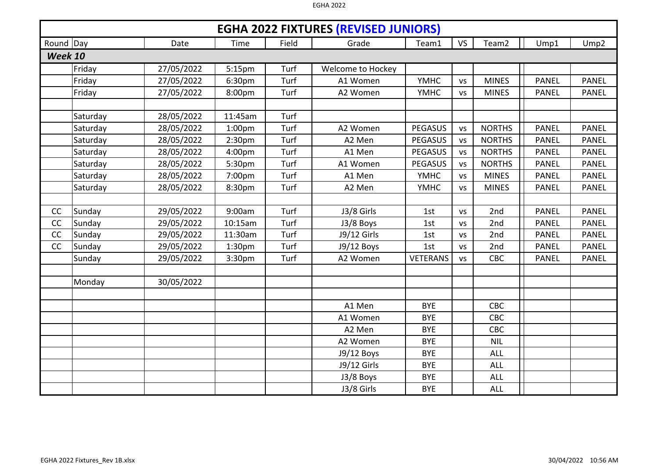|                |          |            |                    |       | <b>EGHA 2022 FIXTURES (REVISED JUNIORS)</b> |                 |           |               |              |              |
|----------------|----------|------------|--------------------|-------|---------------------------------------------|-----------------|-----------|---------------|--------------|--------------|
| Round Day      |          | Date       | Time               | Field | Grade                                       | Team1           | <b>VS</b> | Team2         | Ump1         | Ump2         |
| <b>Week 10</b> |          |            |                    |       |                                             |                 |           |               |              |              |
|                | Friday   | 27/05/2022 | 5:15pm             | Turf  | Welcome to Hockey                           |                 |           |               |              |              |
|                | Friday   | 27/05/2022 | 6:30pm             | Turf  | A1 Women                                    | <b>YMHC</b>     | <b>VS</b> | <b>MINES</b>  | <b>PANEL</b> | <b>PANEL</b> |
|                | Friday   | 27/05/2022 | 8:00pm             | Turf  | A2 Women                                    | <b>YMHC</b>     | <b>VS</b> | <b>MINES</b>  | <b>PANEL</b> | <b>PANEL</b> |
|                |          |            |                    |       |                                             |                 |           |               |              |              |
|                | Saturday | 28/05/2022 | 11:45am            | Turf  |                                             |                 |           |               |              |              |
|                | Saturday | 28/05/2022 | 1:00 <sub>pm</sub> | Turf  | A2 Women                                    | <b>PEGASUS</b>  | <b>VS</b> | <b>NORTHS</b> | <b>PANEL</b> | <b>PANEL</b> |
|                | Saturday | 28/05/2022 | 2:30 <sub>pm</sub> | Turf  | A2 Men                                      | <b>PEGASUS</b>  | <b>VS</b> | <b>NORTHS</b> | <b>PANEL</b> | <b>PANEL</b> |
|                | Saturday | 28/05/2022 | 4:00pm             | Turf  | A1 Men                                      | <b>PEGASUS</b>  | <b>VS</b> | <b>NORTHS</b> | <b>PANEL</b> | <b>PANEL</b> |
|                | Saturday | 28/05/2022 | 5:30pm             | Turf  | A1 Women                                    | <b>PEGASUS</b>  | <b>VS</b> | <b>NORTHS</b> | <b>PANEL</b> | <b>PANEL</b> |
|                | Saturday | 28/05/2022 | 7:00pm             | Turf  | A1 Men                                      | <b>YMHC</b>     | <b>VS</b> | <b>MINES</b>  | <b>PANEL</b> | <b>PANEL</b> |
|                | Saturday | 28/05/2022 | 8:30pm             | Turf  | A2 Men                                      | <b>YMHC</b>     | <b>VS</b> | <b>MINES</b>  | <b>PANEL</b> | <b>PANEL</b> |
|                |          |            |                    |       |                                             |                 |           |               |              |              |
| CC             | Sunday   | 29/05/2022 | 9:00am             | Turf  | J3/8 Girls                                  | 1st             | <b>VS</b> | 2nd           | <b>PANEL</b> | <b>PANEL</b> |
| CC             | Sunday   | 29/05/2022 | 10:15am            | Turf  | J3/8 Boys                                   | 1st             | <b>VS</b> | 2nd           | <b>PANEL</b> | <b>PANEL</b> |
| CC             | Sunday   | 29/05/2022 | 11:30am            | Turf  | J9/12 Girls                                 | 1st             | <b>VS</b> | 2nd           | <b>PANEL</b> | <b>PANEL</b> |
| CC             | Sunday   | 29/05/2022 | 1:30 <sub>pm</sub> | Turf  | J9/12 Boys                                  | 1st             | <b>VS</b> | 2nd           | <b>PANEL</b> | <b>PANEL</b> |
|                | Sunday   | 29/05/2022 | 3:30pm             | Turf  | A2 Women                                    | <b>VETERANS</b> | <b>VS</b> | <b>CBC</b>    | <b>PANEL</b> | <b>PANEL</b> |
|                |          |            |                    |       |                                             |                 |           |               |              |              |
|                | Monday   | 30/05/2022 |                    |       |                                             |                 |           |               |              |              |
|                |          |            |                    |       |                                             |                 |           |               |              |              |
|                |          |            |                    |       | A1 Men                                      | <b>BYE</b>      |           | CBC           |              |              |
|                |          |            |                    |       | A1 Women                                    | <b>BYE</b>      |           | CBC           |              |              |
|                |          |            |                    |       | A2 Men                                      | <b>BYE</b>      |           | CBC           |              |              |
|                |          |            |                    |       | A2 Women                                    | <b>BYE</b>      |           | <b>NIL</b>    |              |              |
|                |          |            |                    |       | J9/12 Boys                                  | <b>BYE</b>      |           | <b>ALL</b>    |              |              |
|                |          |            |                    |       | J9/12 Girls                                 | <b>BYE</b>      |           | <b>ALL</b>    |              |              |
|                |          |            |                    |       | J3/8 Boys                                   | <b>BYE</b>      |           | <b>ALL</b>    |              |              |
|                |          |            |                    |       | J3/8 Girls                                  | <b>BYE</b>      |           | <b>ALL</b>    |              |              |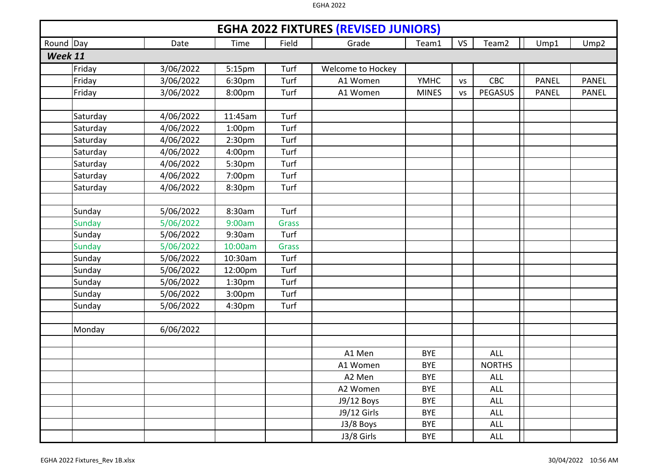|         | <b>EGHA 2022 FIXTURES (REVISED JUNIORS)</b><br>Round Day<br>Field<br><b>VS</b><br>Team2<br>Date<br>Time<br>Grade<br>Ump1<br>Ump2<br>Team1 |           |                    |              |                   |              |           |                |              |              |  |  |  |
|---------|-------------------------------------------------------------------------------------------------------------------------------------------|-----------|--------------------|--------------|-------------------|--------------|-----------|----------------|--------------|--------------|--|--|--|
|         |                                                                                                                                           |           |                    |              |                   |              |           |                |              |              |  |  |  |
| Week 11 |                                                                                                                                           |           |                    |              |                   |              |           |                |              |              |  |  |  |
|         | Friday                                                                                                                                    | 3/06/2022 | 5:15pm             | Turf         | Welcome to Hockey |              |           |                |              |              |  |  |  |
|         | Friday                                                                                                                                    | 3/06/2022 | 6:30pm             | Turf         | A1 Women          | <b>YMHC</b>  | <b>VS</b> | CBC            | <b>PANEL</b> | <b>PANEL</b> |  |  |  |
|         | Friday                                                                                                                                    | 3/06/2022 | 8:00pm             | Turf         | A1 Women          | <b>MINES</b> | <b>VS</b> | <b>PEGASUS</b> | <b>PANEL</b> | <b>PANEL</b> |  |  |  |
|         |                                                                                                                                           |           |                    |              |                   |              |           |                |              |              |  |  |  |
|         | Saturday                                                                                                                                  | 4/06/2022 | 11:45am            | Turf         |                   |              |           |                |              |              |  |  |  |
|         | Saturday                                                                                                                                  | 4/06/2022 | 1:00 <sub>pm</sub> | Turf         |                   |              |           |                |              |              |  |  |  |
|         | Saturday                                                                                                                                  | 4/06/2022 | 2:30 <sub>pm</sub> | Turf         |                   |              |           |                |              |              |  |  |  |
|         | Saturday                                                                                                                                  | 4/06/2022 | 4:00pm             | Turf         |                   |              |           |                |              |              |  |  |  |
|         | Saturday                                                                                                                                  | 4/06/2022 | 5:30pm             | Turf         |                   |              |           |                |              |              |  |  |  |
|         | Saturday                                                                                                                                  | 4/06/2022 | 7:00pm             | Turf         |                   |              |           |                |              |              |  |  |  |
|         | Saturday                                                                                                                                  | 4/06/2022 | 8:30pm             | Turf         |                   |              |           |                |              |              |  |  |  |
|         |                                                                                                                                           |           |                    |              |                   |              |           |                |              |              |  |  |  |
|         | Sunday                                                                                                                                    | 5/06/2022 | 8:30am             | Turf         |                   |              |           |                |              |              |  |  |  |
|         | Sunday                                                                                                                                    | 5/06/2022 | 9:00am             | <b>Grass</b> |                   |              |           |                |              |              |  |  |  |
|         | Sunday                                                                                                                                    | 5/06/2022 | 9:30am             | Turf         |                   |              |           |                |              |              |  |  |  |
|         | <b>Sunday</b>                                                                                                                             | 5/06/2022 | 10:00am            | <b>Grass</b> |                   |              |           |                |              |              |  |  |  |
|         | Sunday                                                                                                                                    | 5/06/2022 | 10:30am            | Turf         |                   |              |           |                |              |              |  |  |  |
|         | Sunday                                                                                                                                    | 5/06/2022 | 12:00pm            | Turf         |                   |              |           |                |              |              |  |  |  |
|         | Sunday                                                                                                                                    | 5/06/2022 | 1:30 <sub>pm</sub> | Turf         |                   |              |           |                |              |              |  |  |  |
|         | Sunday                                                                                                                                    | 5/06/2022 | 3:00pm             | Turf         |                   |              |           |                |              |              |  |  |  |
|         | Sunday                                                                                                                                    | 5/06/2022 | 4:30pm             | Turf         |                   |              |           |                |              |              |  |  |  |
|         |                                                                                                                                           |           |                    |              |                   |              |           |                |              |              |  |  |  |
|         | Monday                                                                                                                                    | 6/06/2022 |                    |              |                   |              |           |                |              |              |  |  |  |
|         |                                                                                                                                           |           |                    |              |                   |              |           |                |              |              |  |  |  |
|         |                                                                                                                                           |           |                    |              | A1 Men            | <b>BYE</b>   |           | <b>ALL</b>     |              |              |  |  |  |
|         |                                                                                                                                           |           |                    |              | A1 Women          | <b>BYE</b>   |           | <b>NORTHS</b>  |              |              |  |  |  |
|         |                                                                                                                                           |           |                    |              | A2 Men            | <b>BYE</b>   |           | <b>ALL</b>     |              |              |  |  |  |
|         |                                                                                                                                           |           |                    |              | A2 Women          | <b>BYE</b>   |           | <b>ALL</b>     |              |              |  |  |  |
|         |                                                                                                                                           |           |                    |              | J9/12 Boys        | <b>BYE</b>   |           | ALL            |              |              |  |  |  |
|         |                                                                                                                                           |           |                    |              | J9/12 Girls       | <b>BYE</b>   |           | <b>ALL</b>     |              |              |  |  |  |
|         |                                                                                                                                           |           |                    |              | J3/8 Boys         | <b>BYE</b>   |           | <b>ALL</b>     |              |              |  |  |  |
|         |                                                                                                                                           |           |                    |              | $J3/8$ Girls      | <b>BYE</b>   |           | <b>ALL</b>     |              |              |  |  |  |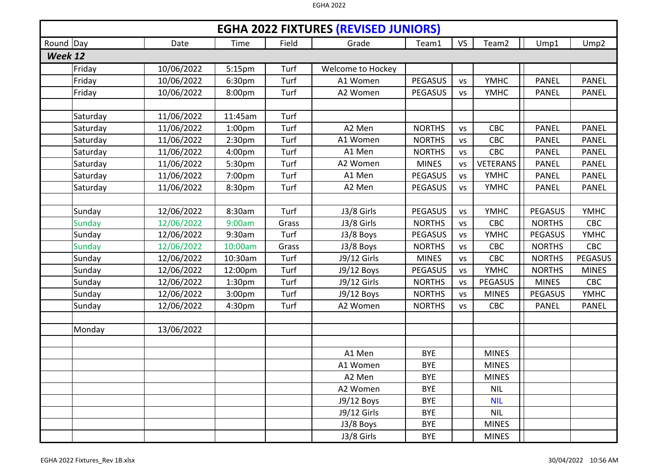|         | <b>EGHA 2022 FIXTURES (REVISED JUNIORS)</b><br>Round Day<br><b>VS</b><br>Team <sub>2</sub><br>Field<br>Ump1<br>Ump <sub>2</sub><br>Date<br>Time<br>Grade<br>Team1 |            |                    |       |                   |                |           |                 |                |                |  |  |
|---------|-------------------------------------------------------------------------------------------------------------------------------------------------------------------|------------|--------------------|-------|-------------------|----------------|-----------|-----------------|----------------|----------------|--|--|
|         |                                                                                                                                                                   |            |                    |       |                   |                |           |                 |                |                |  |  |
| Week 12 |                                                                                                                                                                   |            |                    |       |                   |                |           |                 |                |                |  |  |
|         | Friday                                                                                                                                                            | 10/06/2022 | 5:15pm             | Turf  | Welcome to Hockey |                |           |                 |                |                |  |  |
|         | Friday                                                                                                                                                            | 10/06/2022 | 6:30pm             | Turf  | A1 Women          | <b>PEGASUS</b> | <b>VS</b> | <b>YMHC</b>     | <b>PANEL</b>   | <b>PANEL</b>   |  |  |
|         | Friday                                                                                                                                                            | 10/06/2022 | 8:00pm             | Turf  | A2 Women          | <b>PEGASUS</b> | <b>VS</b> | <b>YMHC</b>     | <b>PANEL</b>   | <b>PANEL</b>   |  |  |
|         |                                                                                                                                                                   |            |                    |       |                   |                |           |                 |                |                |  |  |
|         | Saturday                                                                                                                                                          | 11/06/2022 | 11:45am            | Turf  |                   |                |           |                 |                |                |  |  |
|         | Saturday                                                                                                                                                          | 11/06/2022 | 1:00 <sub>pm</sub> | Turf  | A2 Men            | <b>NORTHS</b>  | <b>VS</b> | CBC             | <b>PANEL</b>   | <b>PANEL</b>   |  |  |
|         | Saturday                                                                                                                                                          | 11/06/2022 | 2:30 <sub>pm</sub> | Turf  | A1 Women          | <b>NORTHS</b>  | <b>VS</b> | CBC             | <b>PANEL</b>   | <b>PANEL</b>   |  |  |
|         | Saturday                                                                                                                                                          | 11/06/2022 | 4:00 <sub>pm</sub> | Turf  | A1 Men            | <b>NORTHS</b>  | <b>VS</b> | CBC             | <b>PANEL</b>   | <b>PANEL</b>   |  |  |
|         | Saturday                                                                                                                                                          | 11/06/2022 | 5:30pm             | Turf  | A2 Women          | <b>MINES</b>   | <b>VS</b> | <b>VETERANS</b> | <b>PANEL</b>   | <b>PANEL</b>   |  |  |
|         | Saturday                                                                                                                                                          | 11/06/2022 | 7:00pm             | Turf  | A1 Men            | <b>PEGASUS</b> | <b>VS</b> | <b>YMHC</b>     | <b>PANEL</b>   | <b>PANEL</b>   |  |  |
|         | Saturday                                                                                                                                                          | 11/06/2022 | 8:30pm             | Turf  | A2 Men            | <b>PEGASUS</b> | <b>VS</b> | <b>YMHC</b>     | <b>PANEL</b>   | <b>PANEL</b>   |  |  |
|         |                                                                                                                                                                   |            |                    |       |                   |                |           |                 |                |                |  |  |
|         | Sunday                                                                                                                                                            | 12/06/2022 | 8:30am             | Turf  | J3/8 Girls        | <b>PEGASUS</b> | <b>VS</b> | <b>YMHC</b>     | <b>PEGASUS</b> | <b>YMHC</b>    |  |  |
|         | <b>Sunday</b>                                                                                                                                                     | 12/06/2022 | 9:00am             | Grass | J3/8 Girls        | <b>NORTHS</b>  | <b>VS</b> | CBC             | <b>NORTHS</b>  | CBC            |  |  |
|         | Sunday                                                                                                                                                            | 12/06/2022 | 9:30am             | Turf  | J3/8 Boys         | <b>PEGASUS</b> | <b>VS</b> | <b>YMHC</b>     | <b>PEGASUS</b> | <b>YMHC</b>    |  |  |
|         | <b>Sunday</b>                                                                                                                                                     | 12/06/2022 | 10:00am            | Grass | J3/8 Boys         | <b>NORTHS</b>  | <b>VS</b> | <b>CBC</b>      | <b>NORTHS</b>  | CBC            |  |  |
|         | Sunday                                                                                                                                                            | 12/06/2022 | 10:30am            | Turf  | J9/12 Girls       | <b>MINES</b>   | <b>VS</b> | CBC             | <b>NORTHS</b>  | <b>PEGASUS</b> |  |  |
|         | Sunday                                                                                                                                                            | 12/06/2022 | 12:00pm            | Turf  | J9/12 Boys        | <b>PEGASUS</b> | <b>VS</b> | <b>YMHC</b>     | <b>NORTHS</b>  | <b>MINES</b>   |  |  |
|         | Sunday                                                                                                                                                            | 12/06/2022 | 1:30 <sub>pm</sub> | Turf  | J9/12 Girls       | <b>NORTHS</b>  | <b>VS</b> | <b>PEGASUS</b>  | <b>MINES</b>   | <b>CBC</b>     |  |  |
|         | Sunday                                                                                                                                                            | 12/06/2022 | 3:00pm             | Turf  | J9/12 Boys        | <b>NORTHS</b>  | <b>VS</b> | <b>MINES</b>    | <b>PEGASUS</b> | <b>YMHC</b>    |  |  |
|         | Sunday                                                                                                                                                            | 12/06/2022 | 4:30pm             | Turf  | A2 Women          | <b>NORTHS</b>  | <b>VS</b> | CBC             | <b>PANEL</b>   | <b>PANEL</b>   |  |  |
|         |                                                                                                                                                                   |            |                    |       |                   |                |           |                 |                |                |  |  |
|         | Monday                                                                                                                                                            | 13/06/2022 |                    |       |                   |                |           |                 |                |                |  |  |
|         |                                                                                                                                                                   |            |                    |       |                   |                |           |                 |                |                |  |  |
|         |                                                                                                                                                                   |            |                    |       | A1 Men            | <b>BYE</b>     |           | <b>MINES</b>    |                |                |  |  |
|         |                                                                                                                                                                   |            |                    |       | A1 Women          | <b>BYE</b>     |           | <b>MINES</b>    |                |                |  |  |
|         |                                                                                                                                                                   |            |                    |       | A2 Men            | <b>BYE</b>     |           | <b>MINES</b>    |                |                |  |  |
|         |                                                                                                                                                                   |            |                    |       | A2 Women          | <b>BYE</b>     |           | <b>NIL</b>      |                |                |  |  |
|         |                                                                                                                                                                   |            |                    |       | J9/12 Boys        | <b>BYE</b>     |           | <b>NIL</b>      |                |                |  |  |
|         |                                                                                                                                                                   |            |                    |       | J9/12 Girls       | <b>BYE</b>     |           | <b>NIL</b>      |                |                |  |  |
|         |                                                                                                                                                                   |            |                    |       | J3/8 Boys         | <b>BYE</b>     |           | <b>MINES</b>    |                |                |  |  |
|         |                                                                                                                                                                   |            |                    |       | J3/8 Girls        | <b>BYE</b>     |           | <b>MINES</b>    |                |                |  |  |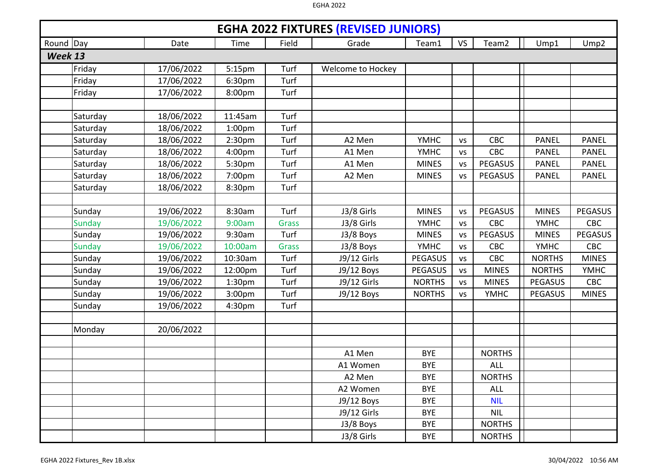|         | <b>EGHA 2022 FIXTURES (REVISED JUNIORS)</b><br>Round Day |            |                    |              |                   |                |           |                   |                |                  |  |  |  |
|---------|----------------------------------------------------------|------------|--------------------|--------------|-------------------|----------------|-----------|-------------------|----------------|------------------|--|--|--|
|         |                                                          | Date       | Time               | Field        | Grade             | Team1          | <b>VS</b> | Team <sub>2</sub> | Ump1           | Ump <sub>2</sub> |  |  |  |
| Week 13 |                                                          |            |                    |              |                   |                |           |                   |                |                  |  |  |  |
|         | Friday                                                   | 17/06/2022 | 5:15pm             | Turf         | Welcome to Hockey |                |           |                   |                |                  |  |  |  |
|         | Friday                                                   | 17/06/2022 | 6:30pm             | Turf         |                   |                |           |                   |                |                  |  |  |  |
|         | Friday                                                   | 17/06/2022 | 8:00pm             | Turf         |                   |                |           |                   |                |                  |  |  |  |
|         |                                                          |            |                    |              |                   |                |           |                   |                |                  |  |  |  |
|         | Saturday                                                 | 18/06/2022 | 11:45am            | Turf         |                   |                |           |                   |                |                  |  |  |  |
|         | Saturday                                                 | 18/06/2022 | 1:00 <sub>pm</sub> | Turf         |                   |                |           |                   |                |                  |  |  |  |
|         | Saturday                                                 | 18/06/2022 | 2:30 <sub>pm</sub> | Turf         | A2 Men            | <b>YMHC</b>    | <b>VS</b> | CBC               | <b>PANEL</b>   | <b>PANEL</b>     |  |  |  |
|         | Saturday                                                 | 18/06/2022 | 4:00pm             | Turf         | A1 Men            | <b>YMHC</b>    | <b>VS</b> | <b>CBC</b>        | <b>PANEL</b>   | <b>PANEL</b>     |  |  |  |
|         | Saturday                                                 | 18/06/2022 | 5:30pm             | Turf         | A1 Men            | <b>MINES</b>   | <b>VS</b> | <b>PEGASUS</b>    | <b>PANEL</b>   | <b>PANEL</b>     |  |  |  |
|         | Saturday                                                 | 18/06/2022 | 7:00pm             | Turf         | A2 Men            | <b>MINES</b>   | <b>VS</b> | <b>PEGASUS</b>    | <b>PANEL</b>   | <b>PANEL</b>     |  |  |  |
|         | Saturday                                                 | 18/06/2022 | 8:30pm             | Turf         |                   |                |           |                   |                |                  |  |  |  |
|         |                                                          |            |                    |              |                   |                |           |                   |                |                  |  |  |  |
|         | Sunday                                                   | 19/06/2022 | 8:30am             | Turf         | J3/8 Girls        | <b>MINES</b>   | <b>VS</b> | <b>PEGASUS</b>    | <b>MINES</b>   | <b>PEGASUS</b>   |  |  |  |
|         | <b>Sunday</b>                                            | 19/06/2022 | 9:00am             | <b>Grass</b> | J3/8 Girls        | <b>YMHC</b>    | <b>VS</b> | <b>CBC</b>        | <b>YMHC</b>    | <b>CBC</b>       |  |  |  |
|         | Sunday                                                   | 19/06/2022 | 9:30am             | Turf         | J3/8 Boys         | <b>MINES</b>   | <b>VS</b> | <b>PEGASUS</b>    | <b>MINES</b>   | <b>PEGASUS</b>   |  |  |  |
|         | <b>Sunday</b>                                            | 19/06/2022 | 10:00am            | Grass        | J3/8 Boys         | <b>YMHC</b>    | <b>VS</b> | <b>CBC</b>        | <b>YMHC</b>    | CBC              |  |  |  |
|         | Sunday                                                   | 19/06/2022 | 10:30am            | Turf         | J9/12 Girls       | <b>PEGASUS</b> | <b>VS</b> | CBC               | <b>NORTHS</b>  | <b>MINES</b>     |  |  |  |
|         | Sunday                                                   | 19/06/2022 | 12:00pm            | Turf         | J9/12 Boys        | <b>PEGASUS</b> | <b>VS</b> | <b>MINES</b>      | <b>NORTHS</b>  | <b>YMHC</b>      |  |  |  |
|         | Sunday                                                   | 19/06/2022 | 1:30 <sub>pm</sub> | Turf         | J9/12 Girls       | <b>NORTHS</b>  | <b>VS</b> | <b>MINES</b>      | <b>PEGASUS</b> | CBC              |  |  |  |
|         | Sunday                                                   | 19/06/2022 | 3:00 <sub>pm</sub> | Turf         | J9/12 Boys        | <b>NORTHS</b>  | <b>VS</b> | <b>YMHC</b>       | <b>PEGASUS</b> | <b>MINES</b>     |  |  |  |
|         | Sunday                                                   | 19/06/2022 | 4:30pm             | Turf         |                   |                |           |                   |                |                  |  |  |  |
|         |                                                          |            |                    |              |                   |                |           |                   |                |                  |  |  |  |
|         | Monday                                                   | 20/06/2022 |                    |              |                   |                |           |                   |                |                  |  |  |  |
|         |                                                          |            |                    |              |                   |                |           |                   |                |                  |  |  |  |
|         |                                                          |            |                    |              | A1 Men            | <b>BYE</b>     |           | <b>NORTHS</b>     |                |                  |  |  |  |
|         |                                                          |            |                    |              | A1 Women          | <b>BYE</b>     |           | <b>ALL</b>        |                |                  |  |  |  |
|         |                                                          |            |                    |              | A2 Men            | <b>BYE</b>     |           | <b>NORTHS</b>     |                |                  |  |  |  |
|         |                                                          |            |                    |              | A2 Women          | <b>BYE</b>     |           | <b>ALL</b>        |                |                  |  |  |  |
|         |                                                          |            |                    |              | J9/12 Boys        | <b>BYE</b>     |           | <b>NIL</b>        |                |                  |  |  |  |
|         |                                                          |            |                    |              | J9/12 Girls       | <b>BYE</b>     |           | <b>NIL</b>        |                |                  |  |  |  |
|         |                                                          |            |                    |              | J3/8 Boys         | <b>BYE</b>     |           | <b>NORTHS</b>     |                |                  |  |  |  |
|         |                                                          |            |                    |              | J3/8 Girls        | <b>BYE</b>     |           | <b>NORTHS</b>     |                |                  |  |  |  |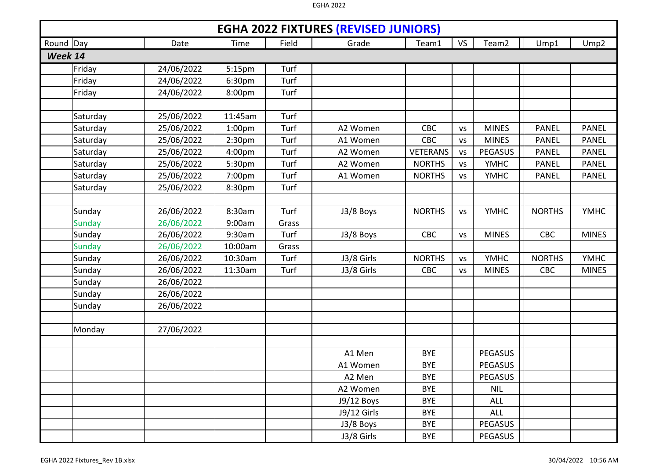|         | <b>EGHA 2022 FIXTURES (REVISED JUNIORS)</b><br>Round Day |            |                    |       |             |                 |           |                   |               |                  |  |  |  |  |
|---------|----------------------------------------------------------|------------|--------------------|-------|-------------|-----------------|-----------|-------------------|---------------|------------------|--|--|--|--|
|         |                                                          | Date       | Time               | Field | Grade       | Team1           | <b>VS</b> | Team <sub>2</sub> | Ump1          | Ump <sub>2</sub> |  |  |  |  |
| Week 14 |                                                          |            |                    |       |             |                 |           |                   |               |                  |  |  |  |  |
|         | Friday                                                   | 24/06/2022 | 5:15pm             | Turf  |             |                 |           |                   |               |                  |  |  |  |  |
|         | Friday                                                   | 24/06/2022 | 6:30pm             | Turf  |             |                 |           |                   |               |                  |  |  |  |  |
|         | Friday                                                   | 24/06/2022 | 8:00pm             | Turf  |             |                 |           |                   |               |                  |  |  |  |  |
|         |                                                          |            |                    |       |             |                 |           |                   |               |                  |  |  |  |  |
|         | Saturday                                                 | 25/06/2022 | 11:45am            | Turf  |             |                 |           |                   |               |                  |  |  |  |  |
|         | Saturday                                                 | 25/06/2022 | 1:00 <sub>pm</sub> | Turf  | A2 Women    | <b>CBC</b>      | <b>VS</b> | <b>MINES</b>      | <b>PANEL</b>  | <b>PANEL</b>     |  |  |  |  |
|         | Saturday                                                 | 25/06/2022 | 2:30pm             | Turf  | A1 Women    | CBC             | <b>VS</b> | <b>MINES</b>      | <b>PANEL</b>  | <b>PANEL</b>     |  |  |  |  |
|         | Saturday                                                 | 25/06/2022 | 4:00pm             | Turf  | A2 Women    | <b>VETERANS</b> | <b>VS</b> | <b>PEGASUS</b>    | <b>PANEL</b>  | <b>PANEL</b>     |  |  |  |  |
|         | Saturday                                                 | 25/06/2022 | 5:30pm             | Turf  | A2 Women    | <b>NORTHS</b>   | <b>VS</b> | <b>YMHC</b>       | <b>PANEL</b>  | <b>PANEL</b>     |  |  |  |  |
|         | Saturday                                                 | 25/06/2022 | 7:00pm             | Turf  | A1 Women    | <b>NORTHS</b>   | <b>VS</b> | <b>YMHC</b>       | <b>PANEL</b>  | <b>PANEL</b>     |  |  |  |  |
|         | Saturday                                                 | 25/06/2022 | 8:30pm             | Turf  |             |                 |           |                   |               |                  |  |  |  |  |
|         |                                                          |            |                    |       |             |                 |           |                   |               |                  |  |  |  |  |
|         | Sunday                                                   | 26/06/2022 | 8:30am             | Turf  | J3/8 Boys   | <b>NORTHS</b>   | <b>VS</b> | <b>YMHC</b>       | <b>NORTHS</b> | <b>YMHC</b>      |  |  |  |  |
|         | <b>Sunday</b>                                            | 26/06/2022 | 9:00am             | Grass |             |                 |           |                   |               |                  |  |  |  |  |
|         | Sunday                                                   | 26/06/2022 | 9:30am             | Turf  | J3/8 Boys   | CBC             | <b>VS</b> | <b>MINES</b>      | CBC           | <b>MINES</b>     |  |  |  |  |
|         | <b>Sunday</b>                                            | 26/06/2022 | 10:00am            | Grass |             |                 |           |                   |               |                  |  |  |  |  |
|         | Sunday                                                   | 26/06/2022 | 10:30am            | Turf  | J3/8 Girls  | <b>NORTHS</b>   | <b>VS</b> | <b>YMHC</b>       | <b>NORTHS</b> | <b>YMHC</b>      |  |  |  |  |
|         | Sunday                                                   | 26/06/2022 | 11:30am            | Turf  | J3/8 Girls  | CBC             | <b>VS</b> | <b>MINES</b>      | CBC           | <b>MINES</b>     |  |  |  |  |
|         | Sunday                                                   | 26/06/2022 |                    |       |             |                 |           |                   |               |                  |  |  |  |  |
|         | Sunday                                                   | 26/06/2022 |                    |       |             |                 |           |                   |               |                  |  |  |  |  |
|         | Sunday                                                   | 26/06/2022 |                    |       |             |                 |           |                   |               |                  |  |  |  |  |
|         |                                                          |            |                    |       |             |                 |           |                   |               |                  |  |  |  |  |
|         | Monday                                                   | 27/06/2022 |                    |       |             |                 |           |                   |               |                  |  |  |  |  |
|         |                                                          |            |                    |       |             |                 |           |                   |               |                  |  |  |  |  |
|         |                                                          |            |                    |       | A1 Men      | <b>BYE</b>      |           | PEGASUS           |               |                  |  |  |  |  |
|         |                                                          |            |                    |       | A1 Women    | <b>BYE</b>      |           | <b>PEGASUS</b>    |               |                  |  |  |  |  |
|         |                                                          |            |                    |       | A2 Men      | <b>BYE</b>      |           | PEGASUS           |               |                  |  |  |  |  |
|         |                                                          |            |                    |       | A2 Women    | <b>BYE</b>      |           | <b>NIL</b>        |               |                  |  |  |  |  |
|         |                                                          |            |                    |       | J9/12 Boys  | <b>BYE</b>      |           | <b>ALL</b>        |               |                  |  |  |  |  |
|         |                                                          |            |                    |       | J9/12 Girls | <b>BYE</b>      |           | <b>ALL</b>        |               |                  |  |  |  |  |
|         |                                                          |            |                    |       | J3/8 Boys   | <b>BYE</b>      |           | <b>PEGASUS</b>    |               |                  |  |  |  |  |
|         |                                                          |            |                    |       | J3/8 Girls  | <b>BYE</b>      |           | PEGASUS           |               |                  |  |  |  |  |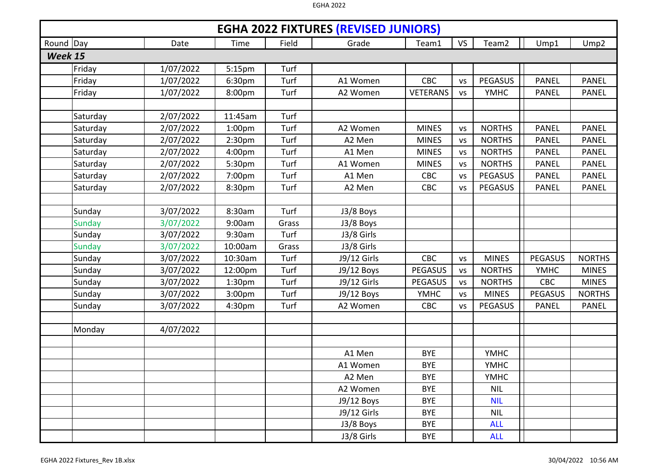|           | <b>EGHA 2022 FIXTURES (REVISED JUNIORS)</b> |           |                    |       |             |                 |           |                   |                |                  |  |  |  |
|-----------|---------------------------------------------|-----------|--------------------|-------|-------------|-----------------|-----------|-------------------|----------------|------------------|--|--|--|
| Round Day |                                             | Date      | Time               | Field | Grade       | Team1           | <b>VS</b> | Team <sub>2</sub> | Ump1           | Ump <sub>2</sub> |  |  |  |
| Week 15   |                                             |           |                    |       |             |                 |           |                   |                |                  |  |  |  |
|           | Friday                                      | 1/07/2022 | 5:15pm             | Turf  |             |                 |           |                   |                |                  |  |  |  |
|           | Friday                                      | 1/07/2022 | 6:30pm             | Turf  | A1 Women    | CBC             | <b>VS</b> | <b>PEGASUS</b>    | <b>PANEL</b>   | <b>PANEL</b>     |  |  |  |
|           | Friday                                      | 1/07/2022 | 8:00pm             | Turf  | A2 Women    | <b>VETERANS</b> | <b>VS</b> | <b>YMHC</b>       | <b>PANEL</b>   | <b>PANEL</b>     |  |  |  |
|           |                                             |           |                    |       |             |                 |           |                   |                |                  |  |  |  |
|           | Saturday                                    | 2/07/2022 | 11:45am            | Turf  |             |                 |           |                   |                |                  |  |  |  |
|           | Saturday                                    | 2/07/2022 | 1:00 <sub>pm</sub> | Turf  | A2 Women    | <b>MINES</b>    | <b>VS</b> | <b>NORTHS</b>     | <b>PANEL</b>   | <b>PANEL</b>     |  |  |  |
|           | Saturday                                    | 2/07/2022 | 2:30 <sub>pm</sub> | Turf  | A2 Men      | <b>MINES</b>    | <b>VS</b> | <b>NORTHS</b>     | <b>PANEL</b>   | <b>PANEL</b>     |  |  |  |
|           | Saturday                                    | 2/07/2022 | 4:00pm             | Turf  | A1 Men      | <b>MINES</b>    | <b>VS</b> | <b>NORTHS</b>     | <b>PANEL</b>   | <b>PANEL</b>     |  |  |  |
|           | Saturday                                    | 2/07/2022 | 5:30pm             | Turf  | A1 Women    | <b>MINES</b>    | <b>VS</b> | <b>NORTHS</b>     | <b>PANEL</b>   | <b>PANEL</b>     |  |  |  |
|           | Saturday                                    | 2/07/2022 | 7:00pm             | Turf  | A1 Men      | <b>CBC</b>      | <b>VS</b> | <b>PEGASUS</b>    | <b>PANEL</b>   | <b>PANEL</b>     |  |  |  |
|           | Saturday                                    | 2/07/2022 | 8:30pm             | Turf  | A2 Men      | <b>CBC</b>      | <b>VS</b> | <b>PEGASUS</b>    | <b>PANEL</b>   | <b>PANEL</b>     |  |  |  |
|           |                                             |           |                    |       |             |                 |           |                   |                |                  |  |  |  |
|           | Sunday                                      | 3/07/2022 | 8:30am             | Turf  | J3/8 Boys   |                 |           |                   |                |                  |  |  |  |
|           | Sunday                                      | 3/07/2022 | 9:00am             | Grass | J3/8 Boys   |                 |           |                   |                |                  |  |  |  |
|           | Sunday                                      | 3/07/2022 | 9:30am             | Turf  | J3/8 Girls  |                 |           |                   |                |                  |  |  |  |
|           | <b>Sunday</b>                               | 3/07/2022 | 10:00am            | Grass | J3/8 Girls  |                 |           |                   |                |                  |  |  |  |
|           | Sunday                                      | 3/07/2022 | 10:30am            | Turf  | J9/12 Girls | CBC             | <b>VS</b> | <b>MINES</b>      | <b>PEGASUS</b> | <b>NORTHS</b>    |  |  |  |
|           | Sunday                                      | 3/07/2022 | 12:00pm            | Turf  | J9/12 Boys  | <b>PEGASUS</b>  | <b>VS</b> | <b>NORTHS</b>     | <b>YMHC</b>    | <b>MINES</b>     |  |  |  |
|           | Sunday                                      | 3/07/2022 | 1:30 <sub>pm</sub> | Turf  | J9/12 Girls | <b>PEGASUS</b>  | <b>VS</b> | <b>NORTHS</b>     | <b>CBC</b>     | <b>MINES</b>     |  |  |  |
|           | Sunday                                      | 3/07/2022 | 3:00pm             | Turf  | J9/12 Boys  | <b>YMHC</b>     | <b>VS</b> | <b>MINES</b>      | <b>PEGASUS</b> | <b>NORTHS</b>    |  |  |  |
|           | Sunday                                      | 3/07/2022 | 4:30pm             | Turf  | A2 Women    | <b>CBC</b>      | VS        | <b>PEGASUS</b>    | <b>PANEL</b>   | <b>PANEL</b>     |  |  |  |
|           |                                             |           |                    |       |             |                 |           |                   |                |                  |  |  |  |
|           | Monday                                      | 4/07/2022 |                    |       |             |                 |           |                   |                |                  |  |  |  |
|           |                                             |           |                    |       |             |                 |           |                   |                |                  |  |  |  |
|           |                                             |           |                    |       | A1 Men      | <b>BYE</b>      |           | <b>YMHC</b>       |                |                  |  |  |  |
|           |                                             |           |                    |       | A1 Women    | <b>BYE</b>      |           | <b>YMHC</b>       |                |                  |  |  |  |
|           |                                             |           |                    |       | A2 Men      | <b>BYE</b>      |           | <b>YMHC</b>       |                |                  |  |  |  |
|           |                                             |           |                    |       | A2 Women    | <b>BYE</b>      |           | <b>NIL</b>        |                |                  |  |  |  |
|           |                                             |           |                    |       | J9/12 Boys  | <b>BYE</b>      |           | <b>NIL</b>        |                |                  |  |  |  |
|           |                                             |           |                    |       | J9/12 Girls | <b>BYE</b>      |           | <b>NIL</b>        |                |                  |  |  |  |
|           |                                             |           |                    |       | J3/8 Boys   | <b>BYE</b>      |           | <b>ALL</b>        |                |                  |  |  |  |
|           |                                             |           |                    |       | J3/8 Girls  | <b>BYE</b>      |           | <b>ALL</b>        |                |                  |  |  |  |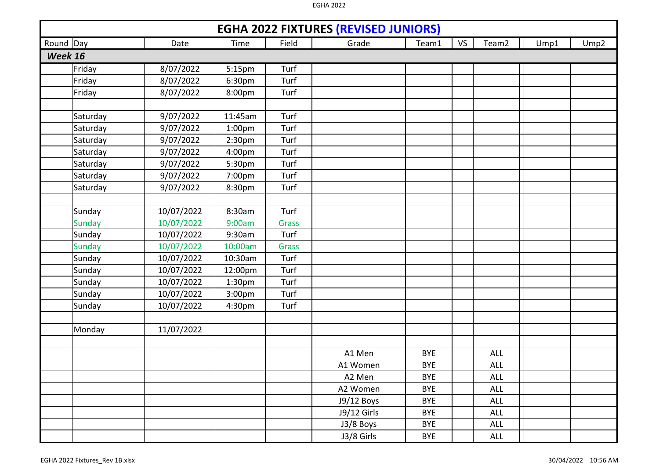| <b>EGHA 2022 FIXTURES (REVISED JUNIORS)</b> |            |                    |              |             |            |           |            |      |                  |  |  |  |
|---------------------------------------------|------------|--------------------|--------------|-------------|------------|-----------|------------|------|------------------|--|--|--|
| Round Day                                   | Date       | Time               | Field        | Grade       | Team1      | <b>VS</b> | Team2      | Ump1 | Ump <sub>2</sub> |  |  |  |
| Week 16                                     |            |                    |              |             |            |           |            |      |                  |  |  |  |
| Friday                                      | 8/07/2022  | 5:15pm             | Turf         |             |            |           |            |      |                  |  |  |  |
| Friday                                      | 8/07/2022  | 6:30pm             | Turf         |             |            |           |            |      |                  |  |  |  |
| Friday                                      | 8/07/2022  | 8:00pm             | Turf         |             |            |           |            |      |                  |  |  |  |
|                                             |            |                    |              |             |            |           |            |      |                  |  |  |  |
| Saturday                                    | 9/07/2022  | 11:45am            | Turf         |             |            |           |            |      |                  |  |  |  |
| Saturday                                    | 9/07/2022  | 1:00 <sub>pm</sub> | Turf         |             |            |           |            |      |                  |  |  |  |
| Saturday                                    | 9/07/2022  | 2:30 <sub>pm</sub> | Turf         |             |            |           |            |      |                  |  |  |  |
| Saturday                                    | 9/07/2022  | 4:00pm             | Turf         |             |            |           |            |      |                  |  |  |  |
| Saturday                                    | 9/07/2022  | 5:30pm             | Turf         |             |            |           |            |      |                  |  |  |  |
| Saturday                                    | 9/07/2022  | 7:00pm             | Turf         |             |            |           |            |      |                  |  |  |  |
| Saturday                                    | 9/07/2022  | 8:30pm             | Turf         |             |            |           |            |      |                  |  |  |  |
|                                             |            |                    |              |             |            |           |            |      |                  |  |  |  |
| Sunday                                      | 10/07/2022 | 8:30am             | Turf         |             |            |           |            |      |                  |  |  |  |
| <b>Sunday</b>                               | 10/07/2022 | 9:00am             | <b>Grass</b> |             |            |           |            |      |                  |  |  |  |
| Sunday                                      | 10/07/2022 | 9:30am             | Turf         |             |            |           |            |      |                  |  |  |  |
| Sunday                                      | 10/07/2022 | 10:00am            | <b>Grass</b> |             |            |           |            |      |                  |  |  |  |
| Sunday                                      | 10/07/2022 | 10:30am            | Turf         |             |            |           |            |      |                  |  |  |  |
| Sunday                                      | 10/07/2022 | 12:00pm            | Turf         |             |            |           |            |      |                  |  |  |  |
| Sunday                                      | 10/07/2022 | 1:30 <sub>pm</sub> | Turf         |             |            |           |            |      |                  |  |  |  |
| Sunday                                      | 10/07/2022 | 3:00pm             | Turf         |             |            |           |            |      |                  |  |  |  |
| Sunday                                      | 10/07/2022 | 4:30pm             | Turf         |             |            |           |            |      |                  |  |  |  |
|                                             |            |                    |              |             |            |           |            |      |                  |  |  |  |
| Monday                                      | 11/07/2022 |                    |              |             |            |           |            |      |                  |  |  |  |
|                                             |            |                    |              |             |            |           |            |      |                  |  |  |  |
|                                             |            |                    |              | A1 Men      | <b>BYE</b> |           | <b>ALL</b> |      |                  |  |  |  |
|                                             |            |                    |              | A1 Women    | <b>BYE</b> |           | <b>ALL</b> |      |                  |  |  |  |
|                                             |            |                    |              | A2 Men      | <b>BYE</b> |           | <b>ALL</b> |      |                  |  |  |  |
|                                             |            |                    |              | A2 Women    | <b>BYE</b> |           | <b>ALL</b> |      |                  |  |  |  |
|                                             |            |                    |              | J9/12 Boys  | <b>BYE</b> |           | <b>ALL</b> |      |                  |  |  |  |
|                                             |            |                    |              | J9/12 Girls | <b>BYE</b> |           | <b>ALL</b> |      |                  |  |  |  |
|                                             |            |                    |              | J3/8 Boys   | <b>BYE</b> |           | ALL        |      |                  |  |  |  |
|                                             |            |                    |              | J3/8 Girls  | BYE        |           | ALL        |      |                  |  |  |  |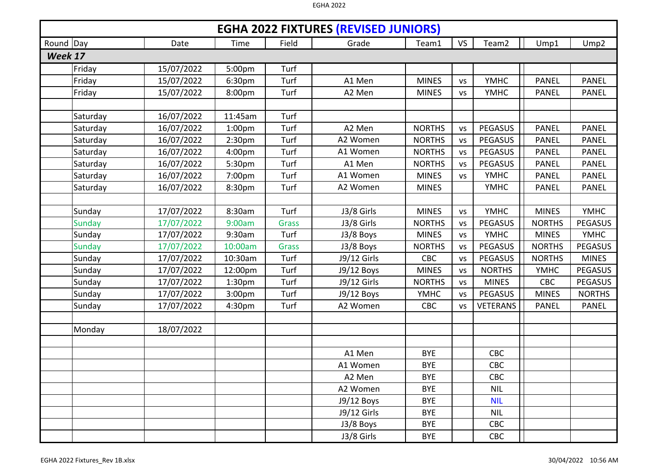|           | <b>EGHA 2022 FIXTURES (REVISED JUNIORS)</b> |            |                    |              |             |               |           |                   |               |                |  |  |  |
|-----------|---------------------------------------------|------------|--------------------|--------------|-------------|---------------|-----------|-------------------|---------------|----------------|--|--|--|
| Round Day |                                             | Date       | Time               | Field        | Grade       | Team1         | <b>VS</b> | Team <sub>2</sub> | Ump1          | Ump2           |  |  |  |
| Week 17   |                                             |            |                    |              |             |               |           |                   |               |                |  |  |  |
|           | Friday                                      | 15/07/2022 | 5:00pm             | Turf         |             |               |           |                   |               |                |  |  |  |
|           | Friday                                      | 15/07/2022 | 6:30pm             | Turf         | A1 Men      | <b>MINES</b>  | VS        | <b>YMHC</b>       | <b>PANEL</b>  | <b>PANEL</b>   |  |  |  |
|           | Friday                                      | 15/07/2022 | 8:00pm             | Turf         | A2 Men      | <b>MINES</b>  | <b>VS</b> | <b>YMHC</b>       | <b>PANEL</b>  | <b>PANEL</b>   |  |  |  |
|           |                                             |            |                    |              |             |               |           |                   |               |                |  |  |  |
|           | Saturday                                    | 16/07/2022 | 11:45am            | Turf         |             |               |           |                   |               |                |  |  |  |
|           | Saturday                                    | 16/07/2022 | 1:00 <sub>pm</sub> | Turf         | A2 Men      | <b>NORTHS</b> | <b>VS</b> | PEGASUS           | <b>PANEL</b>  | <b>PANEL</b>   |  |  |  |
|           | Saturday                                    | 16/07/2022 | 2:30pm             | Turf         | A2 Women    | <b>NORTHS</b> | <b>VS</b> | <b>PEGASUS</b>    | <b>PANEL</b>  | <b>PANEL</b>   |  |  |  |
|           | Saturday                                    | 16/07/2022 | 4:00pm             | Turf         | A1 Women    | <b>NORTHS</b> | <b>VS</b> | <b>PEGASUS</b>    | <b>PANEL</b>  | <b>PANEL</b>   |  |  |  |
|           | Saturday                                    | 16/07/2022 | 5:30pm             | Turf         | A1 Men      | <b>NORTHS</b> | <b>VS</b> | <b>PEGASUS</b>    | <b>PANEL</b>  | <b>PANEL</b>   |  |  |  |
|           | Saturday                                    | 16/07/2022 | 7:00pm             | Turf         | A1 Women    | <b>MINES</b>  | <b>VS</b> | <b>YMHC</b>       | <b>PANEL</b>  | <b>PANEL</b>   |  |  |  |
|           | Saturday                                    | 16/07/2022 | 8:30pm             | Turf         | A2 Women    | <b>MINES</b>  |           | <b>YMHC</b>       | <b>PANEL</b>  | <b>PANEL</b>   |  |  |  |
|           |                                             |            |                    |              |             |               |           |                   |               |                |  |  |  |
|           | Sunday                                      | 17/07/2022 | 8:30am             | Turf         | J3/8 Girls  | <b>MINES</b>  | <b>VS</b> | <b>YMHC</b>       | <b>MINES</b>  | <b>YMHC</b>    |  |  |  |
|           | <b>Sunday</b>                               | 17/07/2022 | 9:00am             | <b>Grass</b> | J3/8 Girls  | <b>NORTHS</b> | <b>VS</b> | <b>PEGASUS</b>    | <b>NORTHS</b> | <b>PEGASUS</b> |  |  |  |
|           | Sunday                                      | 17/07/2022 | 9:30am             | Turf         | J3/8 Boys   | <b>MINES</b>  | <b>VS</b> | <b>YMHC</b>       | <b>MINES</b>  | <b>YMHC</b>    |  |  |  |
|           | <b>Sunday</b>                               | 17/07/2022 | 10:00am            | <b>Grass</b> | J3/8 Boys   | <b>NORTHS</b> | <b>VS</b> | <b>PEGASUS</b>    | <b>NORTHS</b> | <b>PEGASUS</b> |  |  |  |
|           | Sunday                                      | 17/07/2022 | 10:30am            | Turf         | J9/12 Girls | <b>CBC</b>    | VS        | <b>PEGASUS</b>    | <b>NORTHS</b> | <b>MINES</b>   |  |  |  |
|           | Sunday                                      | 17/07/2022 | 12:00pm            | Turf         | J9/12 Boys  | <b>MINES</b>  | <b>VS</b> | <b>NORTHS</b>     | <b>YMHC</b>   | <b>PEGASUS</b> |  |  |  |
|           | Sunday                                      | 17/07/2022 | 1:30pm             | Turf         | J9/12 Girls | <b>NORTHS</b> | VS        | <b>MINES</b>      | CBC           | <b>PEGASUS</b> |  |  |  |
|           | Sunday                                      | 17/07/2022 | 3:00pm             | Turf         | J9/12 Boys  | <b>YMHC</b>   | <b>VS</b> | <b>PEGASUS</b>    | <b>MINES</b>  | <b>NORTHS</b>  |  |  |  |
|           | Sunday                                      | 17/07/2022 | 4:30pm             | Turf         | A2 Women    | <b>CBC</b>    | <b>VS</b> | <b>VETERANS</b>   | <b>PANEL</b>  | <b>PANEL</b>   |  |  |  |
|           |                                             |            |                    |              |             |               |           |                   |               |                |  |  |  |
|           | Monday                                      | 18/07/2022 |                    |              |             |               |           |                   |               |                |  |  |  |
|           |                                             |            |                    |              |             |               |           |                   |               |                |  |  |  |
|           |                                             |            |                    |              | A1 Men      | <b>BYE</b>    |           | CBC               |               |                |  |  |  |
|           |                                             |            |                    |              | A1 Women    | <b>BYE</b>    |           | <b>CBC</b>        |               |                |  |  |  |
|           |                                             |            |                    |              | A2 Men      | <b>BYE</b>    |           | <b>CBC</b>        |               |                |  |  |  |
|           |                                             |            |                    |              | A2 Women    | <b>BYE</b>    |           | <b>NIL</b>        |               |                |  |  |  |
|           |                                             |            |                    |              | J9/12 Boys  | <b>BYE</b>    |           | <b>NIL</b>        |               |                |  |  |  |
|           |                                             |            |                    |              | J9/12 Girls | <b>BYE</b>    |           | <b>NIL</b>        |               |                |  |  |  |
|           |                                             |            |                    |              | J3/8 Boys   | <b>BYE</b>    |           | CBC               |               |                |  |  |  |
|           |                                             |            |                    |              | J3/8 Girls  | <b>BYE</b>    |           | CBC               |               |                |  |  |  |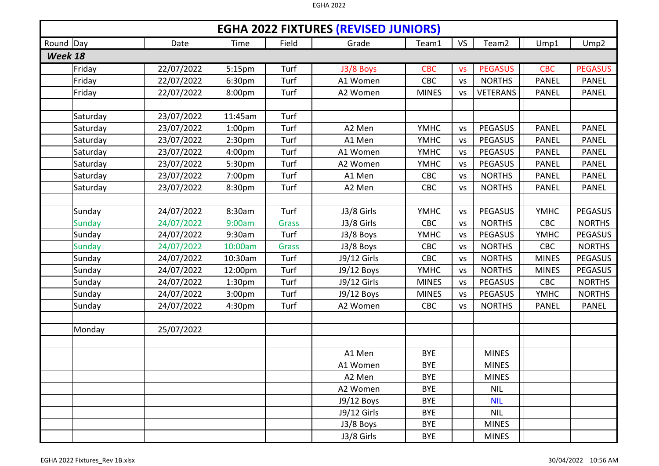|           | <b>EGHA 2022 FIXTURES (REVISED JUNIORS)</b> |            |                    |              |             |              |           |                   |              |                  |  |  |  |
|-----------|---------------------------------------------|------------|--------------------|--------------|-------------|--------------|-----------|-------------------|--------------|------------------|--|--|--|
| Round Day |                                             | Date       | Time               | Field        | Grade       | Team1        | <b>VS</b> | Team <sub>2</sub> | Ump1         | Ump <sub>2</sub> |  |  |  |
| Week 18   |                                             |            |                    |              |             |              |           |                   |              |                  |  |  |  |
|           | Friday                                      | 22/07/2022 | 5:15pm             | Turf         | J3/8 Boys   | <b>CBC</b>   | <b>VS</b> | <b>PEGASUS</b>    | <b>CBC</b>   | <b>PEGASUS</b>   |  |  |  |
|           | Friday                                      | 22/07/2022 | 6:30pm             | Turf         | A1 Women    | CBC          | <b>VS</b> | <b>NORTHS</b>     | <b>PANEL</b> | <b>PANEL</b>     |  |  |  |
|           | Friday                                      | 22/07/2022 | 8:00pm             | Turf         | A2 Women    | <b>MINES</b> | <b>VS</b> | <b>VETERANS</b>   | <b>PANEL</b> | <b>PANEL</b>     |  |  |  |
|           |                                             |            |                    |              |             |              |           |                   |              |                  |  |  |  |
|           | Saturday                                    | 23/07/2022 | 11:45am            | Turf         |             |              |           |                   |              |                  |  |  |  |
|           | Saturday                                    | 23/07/2022 | 1:00 <sub>pm</sub> | Turf         | A2 Men      | <b>YMHC</b>  | <b>VS</b> | PEGASUS           | <b>PANEL</b> | <b>PANEL</b>     |  |  |  |
|           | Saturday                                    | 23/07/2022 | 2:30pm             | Turf         | A1 Men      | <b>YMHC</b>  | <b>VS</b> | PEGASUS           | <b>PANEL</b> | <b>PANEL</b>     |  |  |  |
|           | Saturday                                    | 23/07/2022 | 4:00pm             | Turf         | A1 Women    | <b>YMHC</b>  | <b>VS</b> | <b>PEGASUS</b>    | <b>PANEL</b> | <b>PANEL</b>     |  |  |  |
|           | Saturday                                    | 23/07/2022 | 5:30pm             | Turf         | A2 Women    | <b>YMHC</b>  | <b>VS</b> | <b>PEGASUS</b>    | <b>PANEL</b> | <b>PANEL</b>     |  |  |  |
|           | Saturday                                    | 23/07/2022 | 7:00pm             | Turf         | A1 Men      | <b>CBC</b>   | <b>VS</b> | <b>NORTHS</b>     | <b>PANEL</b> | <b>PANEL</b>     |  |  |  |
|           | Saturday                                    | 23/07/2022 | 8:30pm             | Turf         | A2 Men      | CBC          | <b>VS</b> | <b>NORTHS</b>     | <b>PANEL</b> | <b>PANEL</b>     |  |  |  |
|           |                                             |            |                    |              |             |              |           |                   |              |                  |  |  |  |
|           | Sunday                                      | 24/07/2022 | 8:30am             | Turf         | J3/8 Girls  | <b>YMHC</b>  | <b>VS</b> | <b>PEGASUS</b>    | <b>YMHC</b>  | <b>PEGASUS</b>   |  |  |  |
|           | <b>Sunday</b>                               | 24/07/2022 | 9:00am             | <b>Grass</b> | J3/8 Girls  | <b>CBC</b>   | <b>VS</b> | <b>NORTHS</b>     | CBC          | <b>NORTHS</b>    |  |  |  |
|           | Sunday                                      | 24/07/2022 | 9:30am             | Turf         | J3/8 Boys   | <b>YMHC</b>  | <b>VS</b> | <b>PEGASUS</b>    | <b>YMHC</b>  | <b>PEGASUS</b>   |  |  |  |
|           | <b>Sunday</b>                               | 24/07/2022 | 10:00am            | <b>Grass</b> | J3/8 Boys   | CBC          | <b>VS</b> | <b>NORTHS</b>     | CBC          | <b>NORTHS</b>    |  |  |  |
|           | Sunday                                      | 24/07/2022 | 10:30am            | Turf         | J9/12 Girls | <b>CBC</b>   | VS        | <b>NORTHS</b>     | <b>MINES</b> | <b>PEGASUS</b>   |  |  |  |
|           | Sunday                                      | 24/07/2022 | 12:00pm            | Turf         | J9/12 Boys  | <b>YMHC</b>  | <b>VS</b> | <b>NORTHS</b>     | <b>MINES</b> | <b>PEGASUS</b>   |  |  |  |
|           | Sunday                                      | 24/07/2022 | 1:30 <sub>pm</sub> | Turf         | J9/12 Girls | <b>MINES</b> | <b>VS</b> | <b>PEGASUS</b>    | CBC          | <b>NORTHS</b>    |  |  |  |
|           | Sunday                                      | 24/07/2022 | 3:00pm             | Turf         | J9/12 Boys  | <b>MINES</b> | <b>VS</b> | <b>PEGASUS</b>    | <b>YMHC</b>  | <b>NORTHS</b>    |  |  |  |
|           | Sunday                                      | 24/07/2022 | 4:30pm             | Turf         | A2 Women    | <b>CBC</b>   | <b>VS</b> | <b>NORTHS</b>     | <b>PANEL</b> | <b>PANEL</b>     |  |  |  |
|           |                                             |            |                    |              |             |              |           |                   |              |                  |  |  |  |
|           | Monday                                      | 25/07/2022 |                    |              |             |              |           |                   |              |                  |  |  |  |
|           |                                             |            |                    |              |             |              |           |                   |              |                  |  |  |  |
|           |                                             |            |                    |              | A1 Men      | <b>BYE</b>   |           | <b>MINES</b>      |              |                  |  |  |  |
|           |                                             |            |                    |              | A1 Women    | <b>BYE</b>   |           | <b>MINES</b>      |              |                  |  |  |  |
|           |                                             |            |                    |              | A2 Men      | <b>BYE</b>   |           | <b>MINES</b>      |              |                  |  |  |  |
|           |                                             |            |                    |              | A2 Women    | <b>BYE</b>   |           | <b>NIL</b>        |              |                  |  |  |  |
|           |                                             |            |                    |              | J9/12 Boys  | <b>BYE</b>   |           | <b>NIL</b>        |              |                  |  |  |  |
|           |                                             |            |                    |              | J9/12 Girls | <b>BYE</b>   |           | <b>NIL</b>        |              |                  |  |  |  |
|           |                                             |            |                    |              | J3/8 Boys   | <b>BYE</b>   |           | <b>MINES</b>      |              |                  |  |  |  |
|           |                                             |            |                    |              | J3/8 Girls  | <b>BYE</b>   |           | <b>MINES</b>      |              |                  |  |  |  |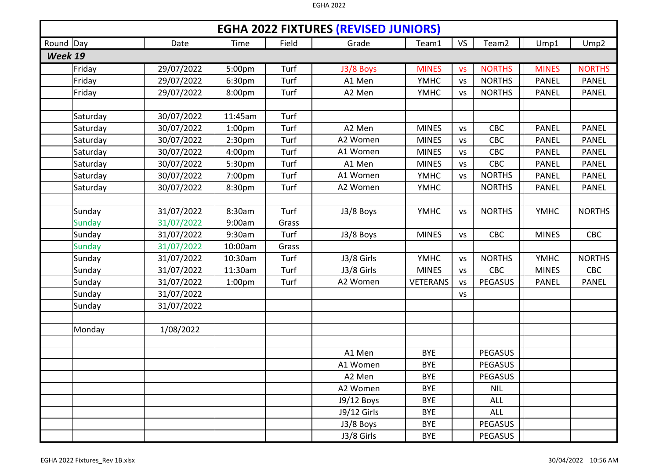|           | <b>EGHA 2022 FIXTURES (REVISED JUNIORS)</b> |            |                    |       |             |                 |           |                   |              |                  |  |  |  |
|-----------|---------------------------------------------|------------|--------------------|-------|-------------|-----------------|-----------|-------------------|--------------|------------------|--|--|--|
| Round Day |                                             | Date       | Time               | Field | Grade       | Team1           | <b>VS</b> | Team <sub>2</sub> | Ump1         | Ump <sub>2</sub> |  |  |  |
| Week 19   |                                             |            |                    |       |             |                 |           |                   |              |                  |  |  |  |
|           | Friday                                      | 29/07/2022 | 5:00pm             | Turf  | J3/8 Boys   | <b>MINES</b>    | <b>VS</b> | <b>NORTHS</b>     | <b>MINES</b> | <b>NORTHS</b>    |  |  |  |
|           | Friday                                      | 29/07/2022 | 6:30pm             | Turf  | A1 Men      | <b>YMHC</b>     | <b>VS</b> | <b>NORTHS</b>     | <b>PANEL</b> | <b>PANEL</b>     |  |  |  |
|           | Friday                                      | 29/07/2022 | 8:00pm             | Turf  | A2 Men      | <b>YMHC</b>     | <b>VS</b> | <b>NORTHS</b>     | <b>PANEL</b> | <b>PANEL</b>     |  |  |  |
|           |                                             |            |                    |       |             |                 |           |                   |              |                  |  |  |  |
|           | Saturday                                    | 30/07/2022 | 11:45am            | Turf  |             |                 |           |                   |              |                  |  |  |  |
|           | Saturday                                    | 30/07/2022 | 1:00 <sub>pm</sub> | Turf  | A2 Men      | <b>MINES</b>    | <b>VS</b> | <b>CBC</b>        | <b>PANEL</b> | <b>PANEL</b>     |  |  |  |
|           | Saturday                                    | 30/07/2022 | 2:30pm             | Turf  | A2 Women    | <b>MINES</b>    | <b>VS</b> | CBC               | <b>PANEL</b> | <b>PANEL</b>     |  |  |  |
|           | Saturday                                    | 30/07/2022 | 4:00pm             | Turf  | A1 Women    | <b>MINES</b>    | VS        | <b>CBC</b>        | <b>PANEL</b> | <b>PANEL</b>     |  |  |  |
|           | Saturday                                    | 30/07/2022 | 5:30pm             | Turf  | A1 Men      | <b>MINES</b>    | <b>VS</b> | CBC               | <b>PANEL</b> | <b>PANEL</b>     |  |  |  |
|           | Saturday                                    | 30/07/2022 | 7:00pm             | Turf  | A1 Women    | <b>YMHC</b>     | <b>VS</b> | <b>NORTHS</b>     | <b>PANEL</b> | <b>PANEL</b>     |  |  |  |
|           | Saturday                                    | 30/07/2022 | 8:30pm             | Turf  | A2 Women    | <b>YMHC</b>     |           | <b>NORTHS</b>     | <b>PANEL</b> | <b>PANEL</b>     |  |  |  |
|           |                                             |            |                    |       |             |                 |           |                   |              |                  |  |  |  |
|           | Sunday                                      | 31/07/2022 | 8:30am             | Turf  | J3/8 Boys   | <b>YMHC</b>     | <b>VS</b> | <b>NORTHS</b>     | <b>YMHC</b>  | <b>NORTHS</b>    |  |  |  |
|           | <b>Sunday</b>                               | 31/07/2022 | 9:00am             | Grass |             |                 |           |                   |              |                  |  |  |  |
|           | Sunday                                      | 31/07/2022 | 9:30am             | Turf  | J3/8 Boys   | <b>MINES</b>    | <b>VS</b> | <b>CBC</b>        | <b>MINES</b> | <b>CBC</b>       |  |  |  |
|           | <b>Sunday</b>                               | 31/07/2022 | 10:00am            | Grass |             |                 |           |                   |              |                  |  |  |  |
|           | Sunday                                      | 31/07/2022 | 10:30am            | Turf  | J3/8 Girls  | <b>YMHC</b>     | <b>VS</b> | <b>NORTHS</b>     | <b>YMHC</b>  | <b>NORTHS</b>    |  |  |  |
|           | Sunday                                      | 31/07/2022 | 11:30am            | Turf  | J3/8 Girls  | <b>MINES</b>    | <b>VS</b> | CBC               | <b>MINES</b> | CBC              |  |  |  |
|           | Sunday                                      | 31/07/2022 | 1:00 <sub>pm</sub> | Turf  | A2 Women    | <b>VETERANS</b> | <b>VS</b> | <b>PEGASUS</b>    | <b>PANEL</b> | <b>PANEL</b>     |  |  |  |
|           | Sunday                                      | 31/07/2022 |                    |       |             |                 | <b>VS</b> |                   |              |                  |  |  |  |
|           | Sunday                                      | 31/07/2022 |                    |       |             |                 |           |                   |              |                  |  |  |  |
|           |                                             |            |                    |       |             |                 |           |                   |              |                  |  |  |  |
|           | Monday                                      | 1/08/2022  |                    |       |             |                 |           |                   |              |                  |  |  |  |
|           |                                             |            |                    |       |             |                 |           |                   |              |                  |  |  |  |
|           |                                             |            |                    |       | A1 Men      | <b>BYE</b>      |           | <b>PEGASUS</b>    |              |                  |  |  |  |
|           |                                             |            |                    |       | A1 Women    | <b>BYE</b>      |           | <b>PEGASUS</b>    |              |                  |  |  |  |
|           |                                             |            |                    |       | A2 Men      | <b>BYE</b>      |           | <b>PEGASUS</b>    |              |                  |  |  |  |
|           |                                             |            |                    |       | A2 Women    | <b>BYE</b>      |           | <b>NIL</b>        |              |                  |  |  |  |
|           |                                             |            |                    |       | J9/12 Boys  | <b>BYE</b>      |           | <b>ALL</b>        |              |                  |  |  |  |
|           |                                             |            |                    |       | J9/12 Girls | <b>BYE</b>      |           | <b>ALL</b>        |              |                  |  |  |  |
|           |                                             |            |                    |       | J3/8 Boys   | <b>BYE</b>      |           | <b>PEGASUS</b>    |              |                  |  |  |  |
|           |                                             |            |                    |       | J3/8 Girls  | <b>BYE</b>      |           | PEGASUS           |              |                  |  |  |  |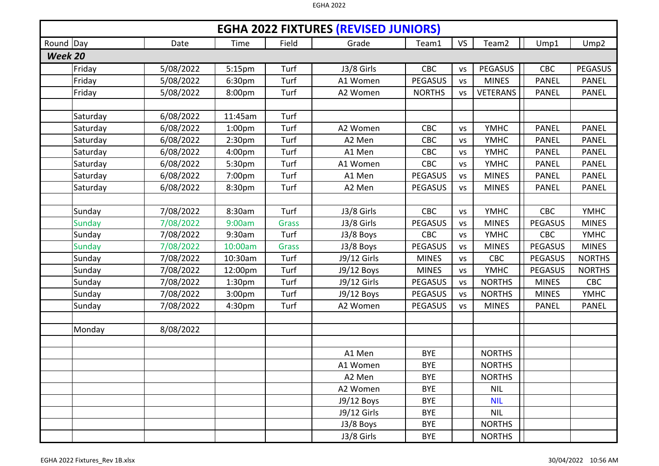|           | <b>EGHA 2022 FIXTURES (REVISED JUNIORS)</b> |           |                    |              |             |                |           |                   |                |                  |  |  |  |
|-----------|---------------------------------------------|-----------|--------------------|--------------|-------------|----------------|-----------|-------------------|----------------|------------------|--|--|--|
| Round Day |                                             | Date      | Time               | Field        | Grade       | Team1          | <b>VS</b> | Team <sub>2</sub> | Ump1           | Ump <sub>2</sub> |  |  |  |
| Week 20   |                                             |           |                    |              |             |                |           |                   |                |                  |  |  |  |
|           | Friday                                      | 5/08/2022 | 5:15pm             | Turf         | J3/8 Girls  | CBC            | <b>VS</b> | <b>PEGASUS</b>    | CBC            | <b>PEGASUS</b>   |  |  |  |
|           | Friday                                      | 5/08/2022 | 6:30pm             | Turf         | A1 Women    | <b>PEGASUS</b> | <b>VS</b> | <b>MINES</b>      | <b>PANEL</b>   | <b>PANEL</b>     |  |  |  |
|           | Friday                                      | 5/08/2022 | 8:00pm             | Turf         | A2 Women    | <b>NORTHS</b>  | <b>VS</b> | <b>VETERANS</b>   | <b>PANEL</b>   | <b>PANEL</b>     |  |  |  |
|           |                                             |           |                    |              |             |                |           |                   |                |                  |  |  |  |
|           | Saturday                                    | 6/08/2022 | 11:45am            | Turf         |             |                |           |                   |                |                  |  |  |  |
|           | Saturday                                    | 6/08/2022 | 1:00 <sub>pm</sub> | Turf         | A2 Women    | CBC            | <b>VS</b> | <b>YMHC</b>       | <b>PANEL</b>   | <b>PANEL</b>     |  |  |  |
|           | Saturday                                    | 6/08/2022 | 2:30 <sub>pm</sub> | Turf         | A2 Men      | CBC            | <b>VS</b> | <b>YMHC</b>       | <b>PANEL</b>   | <b>PANEL</b>     |  |  |  |
|           | Saturday                                    | 6/08/2022 | 4:00 <sub>pm</sub> | Turf         | A1 Men      | CBC            | <b>VS</b> | <b>YMHC</b>       | <b>PANEL</b>   | <b>PANEL</b>     |  |  |  |
|           | Saturday                                    | 6/08/2022 | 5:30pm             | Turf         | A1 Women    | CBC            | <b>VS</b> | <b>YMHC</b>       | <b>PANEL</b>   | <b>PANEL</b>     |  |  |  |
|           | Saturday                                    | 6/08/2022 | 7:00pm             | Turf         | A1 Men      | <b>PEGASUS</b> | <b>VS</b> | <b>MINES</b>      | <b>PANEL</b>   | <b>PANEL</b>     |  |  |  |
|           | Saturday                                    | 6/08/2022 | 8:30pm             | Turf         | A2 Men      | <b>PEGASUS</b> | <b>VS</b> | <b>MINES</b>      | <b>PANEL</b>   | <b>PANEL</b>     |  |  |  |
|           |                                             |           |                    |              |             |                |           |                   |                |                  |  |  |  |
|           | Sunday                                      | 7/08/2022 | 8:30am             | Turf         | J3/8 Girls  | CBC            | <b>VS</b> | <b>YMHC</b>       | CBC            | <b>YMHC</b>      |  |  |  |
|           | <b>Sunday</b>                               | 7/08/2022 | 9:00am             | <b>Grass</b> | J3/8 Girls  | <b>PEGASUS</b> | <b>VS</b> | <b>MINES</b>      | <b>PEGASUS</b> | <b>MINES</b>     |  |  |  |
|           | Sunday                                      | 7/08/2022 | 9:30am             | Turf         | J3/8 Boys   | <b>CBC</b>     | <b>VS</b> | <b>YMHC</b>       | <b>CBC</b>     | <b>YMHC</b>      |  |  |  |
|           | <b>Sunday</b>                               | 7/08/2022 | 10:00am            | <b>Grass</b> | J3/8 Boys   | <b>PEGASUS</b> | <b>VS</b> | <b>MINES</b>      | <b>PEGASUS</b> | <b>MINES</b>     |  |  |  |
|           | Sunday                                      | 7/08/2022 | 10:30am            | Turf         | J9/12 Girls | <b>MINES</b>   | <b>VS</b> | CBC               | <b>PEGASUS</b> | <b>NORTHS</b>    |  |  |  |
|           | Sunday                                      | 7/08/2022 | 12:00pm            | Turf         | J9/12 Boys  | <b>MINES</b>   | <b>VS</b> | <b>YMHC</b>       | <b>PEGASUS</b> | <b>NORTHS</b>    |  |  |  |
|           | Sunday                                      | 7/08/2022 | 1:30 <sub>pm</sub> | Turf         | J9/12 Girls | PEGASUS        | <b>VS</b> | <b>NORTHS</b>     | <b>MINES</b>   | <b>CBC</b>       |  |  |  |
|           | Sunday                                      | 7/08/2022 | 3:00pm             | Turf         | J9/12 Boys  | <b>PEGASUS</b> | <b>VS</b> | <b>NORTHS</b>     | <b>MINES</b>   | <b>YMHC</b>      |  |  |  |
|           | Sunday                                      | 7/08/2022 | 4:30pm             | Turf         | A2 Women    | <b>PEGASUS</b> | <b>VS</b> | <b>MINES</b>      | <b>PANEL</b>   | <b>PANEL</b>     |  |  |  |
|           |                                             |           |                    |              |             |                |           |                   |                |                  |  |  |  |
|           | Monday                                      | 8/08/2022 |                    |              |             |                |           |                   |                |                  |  |  |  |
|           |                                             |           |                    |              |             |                |           |                   |                |                  |  |  |  |
|           |                                             |           |                    |              | A1 Men      | <b>BYE</b>     |           | <b>NORTHS</b>     |                |                  |  |  |  |
|           |                                             |           |                    |              | A1 Women    | <b>BYE</b>     |           | <b>NORTHS</b>     |                |                  |  |  |  |
|           |                                             |           |                    |              | A2 Men      | <b>BYE</b>     |           | <b>NORTHS</b>     |                |                  |  |  |  |
|           |                                             |           |                    |              | A2 Women    | <b>BYE</b>     |           | <b>NIL</b>        |                |                  |  |  |  |
|           |                                             |           |                    |              | J9/12 Boys  | <b>BYE</b>     |           | <b>NIL</b>        |                |                  |  |  |  |
|           |                                             |           |                    |              | J9/12 Girls | <b>BYE</b>     |           | <b>NIL</b>        |                |                  |  |  |  |
|           |                                             |           |                    |              | J3/8 Boys   | <b>BYE</b>     |           | <b>NORTHS</b>     |                |                  |  |  |  |
|           |                                             |           |                    |              | J3/8 Girls  | <b>BYE</b>     |           | <b>NORTHS</b>     |                |                  |  |  |  |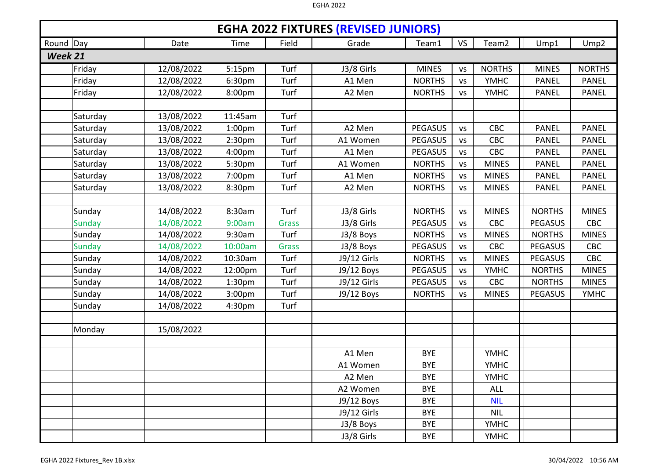|           | <b>EGHA 2022 FIXTURES (REVISED JUNIORS)</b> |            |                    |              |             |                |           |                   |                |                  |  |  |  |
|-----------|---------------------------------------------|------------|--------------------|--------------|-------------|----------------|-----------|-------------------|----------------|------------------|--|--|--|
| Round Day |                                             | Date       | Time               | Field        | Grade       | Team1          | <b>VS</b> | Team <sub>2</sub> | Ump1           | Ump <sub>2</sub> |  |  |  |
| Week 21   |                                             |            |                    |              |             |                |           |                   |                |                  |  |  |  |
|           | Friday                                      | 12/08/2022 | 5:15pm             | Turf         | J3/8 Girls  | <b>MINES</b>   | <b>VS</b> | <b>NORTHS</b>     | <b>MINES</b>   | <b>NORTHS</b>    |  |  |  |
|           | Friday                                      | 12/08/2022 | 6:30pm             | Turf         | A1 Men      | <b>NORTHS</b>  | <b>VS</b> | <b>YMHC</b>       | <b>PANEL</b>   | <b>PANEL</b>     |  |  |  |
|           | Friday                                      | 12/08/2022 | 8:00pm             | Turf         | A2 Men      | <b>NORTHS</b>  | <b>VS</b> | <b>YMHC</b>       | <b>PANEL</b>   | <b>PANEL</b>     |  |  |  |
|           |                                             |            |                    |              |             |                |           |                   |                |                  |  |  |  |
|           | Saturday                                    | 13/08/2022 | 11:45am            | Turf         |             |                |           |                   |                |                  |  |  |  |
|           | Saturday                                    | 13/08/2022 | 1:00 <sub>pm</sub> | Turf         | A2 Men      | <b>PEGASUS</b> | <b>VS</b> | CBC               | <b>PANEL</b>   | <b>PANEL</b>     |  |  |  |
|           | Saturday                                    | 13/08/2022 | 2:30 <sub>pm</sub> | Turf         | A1 Women    | <b>PEGASUS</b> | <b>VS</b> | CBC               | <b>PANEL</b>   | <b>PANEL</b>     |  |  |  |
|           | Saturday                                    | 13/08/2022 | 4:00pm             | Turf         | A1 Men      | <b>PEGASUS</b> | <b>VS</b> | CBC               | <b>PANEL</b>   | <b>PANEL</b>     |  |  |  |
|           | Saturday                                    | 13/08/2022 | 5:30pm             | Turf         | A1 Women    | <b>NORTHS</b>  | <b>VS</b> | <b>MINES</b>      | <b>PANEL</b>   | <b>PANEL</b>     |  |  |  |
|           | Saturday                                    | 13/08/2022 | 7:00pm             | Turf         | A1 Men      | <b>NORTHS</b>  | <b>VS</b> | <b>MINES</b>      | <b>PANEL</b>   | <b>PANEL</b>     |  |  |  |
|           | Saturday                                    | 13/08/2022 | 8:30pm             | Turf         | A2 Men      | <b>NORTHS</b>  | <b>VS</b> | <b>MINES</b>      | <b>PANEL</b>   | <b>PANEL</b>     |  |  |  |
|           |                                             |            |                    |              |             |                |           |                   |                |                  |  |  |  |
|           | Sunday                                      | 14/08/2022 | 8:30am             | Turf         | J3/8 Girls  | <b>NORTHS</b>  | <b>VS</b> | <b>MINES</b>      | <b>NORTHS</b>  | <b>MINES</b>     |  |  |  |
|           | <b>Sunday</b>                               | 14/08/2022 | 9:00am             | <b>Grass</b> | J3/8 Girls  | <b>PEGASUS</b> | <b>VS</b> | <b>CBC</b>        | <b>PEGASUS</b> | <b>CBC</b>       |  |  |  |
|           | Sunday                                      | 14/08/2022 | 9:30am             | Turf         | J3/8 Boys   | <b>NORTHS</b>  | <b>VS</b> | <b>MINES</b>      | <b>NORTHS</b>  | <b>MINES</b>     |  |  |  |
|           | <b>Sunday</b>                               | 14/08/2022 | 10:00am            | <b>Grass</b> | J3/8 Boys   | <b>PEGASUS</b> | <b>VS</b> | <b>CBC</b>        | <b>PEGASUS</b> | CBC              |  |  |  |
|           | Sunday                                      | 14/08/2022 | 10:30am            | Turf         | J9/12 Girls | <b>NORTHS</b>  | <b>VS</b> | <b>MINES</b>      | PEGASUS        | CBC              |  |  |  |
|           | Sunday                                      | 14/08/2022 | 12:00pm            | Turf         | J9/12 Boys  | <b>PEGASUS</b> | <b>VS</b> | <b>YMHC</b>       | <b>NORTHS</b>  | <b>MINES</b>     |  |  |  |
|           | Sunday                                      | 14/08/2022 | 1:30 <sub>pm</sub> | Turf         | J9/12 Girls | PEGASUS        | <b>VS</b> | CBC               | <b>NORTHS</b>  | <b>MINES</b>     |  |  |  |
|           | Sunday                                      | 14/08/2022 | 3:00 <sub>pm</sub> | Turf         | J9/12 Boys  | <b>NORTHS</b>  | <b>VS</b> | <b>MINES</b>      | <b>PEGASUS</b> | <b>YMHC</b>      |  |  |  |
|           | Sunday                                      | 14/08/2022 | 4:30pm             | Turf         |             |                |           |                   |                |                  |  |  |  |
|           |                                             |            |                    |              |             |                |           |                   |                |                  |  |  |  |
|           | Monday                                      | 15/08/2022 |                    |              |             |                |           |                   |                |                  |  |  |  |
|           |                                             |            |                    |              |             |                |           |                   |                |                  |  |  |  |
|           |                                             |            |                    |              | A1 Men      | <b>BYE</b>     |           | <b>YMHC</b>       |                |                  |  |  |  |
|           |                                             |            |                    |              | A1 Women    | <b>BYE</b>     |           | <b>YMHC</b>       |                |                  |  |  |  |
|           |                                             |            |                    |              | A2 Men      | <b>BYE</b>     |           | <b>YMHC</b>       |                |                  |  |  |  |
|           |                                             |            |                    |              | A2 Women    | <b>BYE</b>     |           | <b>ALL</b>        |                |                  |  |  |  |
|           |                                             |            |                    |              | J9/12 Boys  | <b>BYE</b>     |           | <b>NIL</b>        |                |                  |  |  |  |
|           |                                             |            |                    |              | J9/12 Girls | <b>BYE</b>     |           | <b>NIL</b>        |                |                  |  |  |  |
|           |                                             |            |                    |              | J3/8 Boys   | <b>BYE</b>     |           | <b>YMHC</b>       |                |                  |  |  |  |
|           |                                             |            |                    |              | J3/8 Girls  | <b>BYE</b>     |           | <b>YMHC</b>       |                |                  |  |  |  |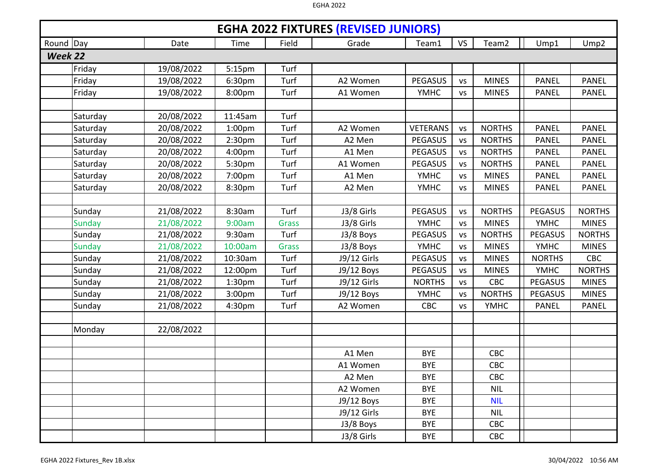|           | <b>EGHA 2022 FIXTURES (REVISED JUNIORS)</b> |            |                    |              |             |                 |           |                   |                |                  |  |  |  |
|-----------|---------------------------------------------|------------|--------------------|--------------|-------------|-----------------|-----------|-------------------|----------------|------------------|--|--|--|
| Round Day |                                             | Date       | Time               | Field        | Grade       | Team1           | <b>VS</b> | Team <sub>2</sub> | Ump1           | Ump <sub>2</sub> |  |  |  |
| Week 22   |                                             |            |                    |              |             |                 |           |                   |                |                  |  |  |  |
|           | Friday                                      | 19/08/2022 | 5:15pm             | Turf         |             |                 |           |                   |                |                  |  |  |  |
|           | Friday                                      | 19/08/2022 | 6:30pm             | Turf         | A2 Women    | <b>PEGASUS</b>  | <b>VS</b> | <b>MINES</b>      | <b>PANEL</b>   | <b>PANEL</b>     |  |  |  |
|           | Friday                                      | 19/08/2022 | 8:00pm             | Turf         | A1 Women    | <b>YMHC</b>     | <b>VS</b> | <b>MINES</b>      | <b>PANEL</b>   | <b>PANEL</b>     |  |  |  |
|           |                                             |            |                    |              |             |                 |           |                   |                |                  |  |  |  |
|           | Saturday                                    | 20/08/2022 | 11:45am            | Turf         |             |                 |           |                   |                |                  |  |  |  |
|           | Saturday                                    | 20/08/2022 | 1:00 <sub>pm</sub> | Turf         | A2 Women    | <b>VETERANS</b> | <b>VS</b> | <b>NORTHS</b>     | <b>PANEL</b>   | <b>PANEL</b>     |  |  |  |
|           | Saturday                                    | 20/08/2022 | 2:30 <sub>pm</sub> | Turf         | A2 Men      | <b>PEGASUS</b>  | <b>VS</b> | <b>NORTHS</b>     | <b>PANEL</b>   | <b>PANEL</b>     |  |  |  |
|           | Saturday                                    | 20/08/2022 | 4:00 <sub>pm</sub> | Turf         | A1 Men      | <b>PEGASUS</b>  | <b>VS</b> | <b>NORTHS</b>     | <b>PANEL</b>   | <b>PANEL</b>     |  |  |  |
|           | Saturday                                    | 20/08/2022 | 5:30pm             | Turf         | A1 Women    | <b>PEGASUS</b>  | <b>VS</b> | <b>NORTHS</b>     | <b>PANEL</b>   | <b>PANEL</b>     |  |  |  |
|           | Saturday                                    | 20/08/2022 | 7:00pm             | Turf         | A1 Men      | <b>YMHC</b>     | <b>VS</b> | <b>MINES</b>      | <b>PANEL</b>   | <b>PANEL</b>     |  |  |  |
|           | Saturday                                    | 20/08/2022 | 8:30pm             | Turf         | A2 Men      | <b>YMHC</b>     | <b>VS</b> | <b>MINES</b>      | <b>PANEL</b>   | <b>PANEL</b>     |  |  |  |
|           |                                             |            |                    |              |             |                 |           |                   |                |                  |  |  |  |
|           | Sunday                                      | 21/08/2022 | 8:30am             | Turf         | J3/8 Girls  | <b>PEGASUS</b>  | <b>VS</b> | <b>NORTHS</b>     | <b>PEGASUS</b> | <b>NORTHS</b>    |  |  |  |
|           | <b>Sunday</b>                               | 21/08/2022 | 9:00am             | <b>Grass</b> | J3/8 Girls  | <b>YMHC</b>     | <b>VS</b> | <b>MINES</b>      | <b>YMHC</b>    | <b>MINES</b>     |  |  |  |
|           | Sunday                                      | 21/08/2022 | 9:30am             | Turf         | J3/8 Boys   | <b>PEGASUS</b>  | <b>VS</b> | <b>NORTHS</b>     | <b>PEGASUS</b> | <b>NORTHS</b>    |  |  |  |
|           | <b>Sunday</b>                               | 21/08/2022 | 10:00am            | <b>Grass</b> | J3/8 Boys   | <b>YMHC</b>     | <b>VS</b> | <b>MINES</b>      | <b>YMHC</b>    | <b>MINES</b>     |  |  |  |
|           | Sunday                                      | 21/08/2022 | 10:30am            | Turf         | J9/12 Girls | PEGASUS         | <b>VS</b> | <b>MINES</b>      | <b>NORTHS</b>  | <b>CBC</b>       |  |  |  |
|           | Sunday                                      | 21/08/2022 | 12:00pm            | Turf         | J9/12 Boys  | <b>PEGASUS</b>  | <b>VS</b> | <b>MINES</b>      | <b>YMHC</b>    | <b>NORTHS</b>    |  |  |  |
|           | Sunday                                      | 21/08/2022 | 1:30 <sub>pm</sub> | Turf         | J9/12 Girls | <b>NORTHS</b>   | <b>VS</b> | CBC               | <b>PEGASUS</b> | <b>MINES</b>     |  |  |  |
|           | Sunday                                      | 21/08/2022 | 3:00pm             | Turf         | J9/12 Boys  | <b>YMHC</b>     | <b>VS</b> | <b>NORTHS</b>     | <b>PEGASUS</b> | <b>MINES</b>     |  |  |  |
|           | Sunday                                      | 21/08/2022 | 4:30pm             | Turf         | A2 Women    | CBC             | <b>VS</b> | <b>YMHC</b>       | <b>PANEL</b>   | <b>PANEL</b>     |  |  |  |
|           |                                             |            |                    |              |             |                 |           |                   |                |                  |  |  |  |
|           | Monday                                      | 22/08/2022 |                    |              |             |                 |           |                   |                |                  |  |  |  |
|           |                                             |            |                    |              |             |                 |           |                   |                |                  |  |  |  |
|           |                                             |            |                    |              | A1 Men      | <b>BYE</b>      |           | CBC               |                |                  |  |  |  |
|           |                                             |            |                    |              | A1 Women    | <b>BYE</b>      |           | CBC               |                |                  |  |  |  |
|           |                                             |            |                    |              | A2 Men      | <b>BYE</b>      |           | CBC               |                |                  |  |  |  |
|           |                                             |            |                    |              | A2 Women    | <b>BYE</b>      |           | <b>NIL</b>        |                |                  |  |  |  |
|           |                                             |            |                    |              | J9/12 Boys  | <b>BYE</b>      |           | <b>NIL</b>        |                |                  |  |  |  |
|           |                                             |            |                    |              | J9/12 Girls | <b>BYE</b>      |           | <b>NIL</b>        |                |                  |  |  |  |
|           |                                             |            |                    |              | J3/8 Boys   | <b>BYE</b>      |           | CBC               |                |                  |  |  |  |
|           |                                             |            |                    |              | J3/8 Girls  | <b>BYE</b>      |           | CBC               |                |                  |  |  |  |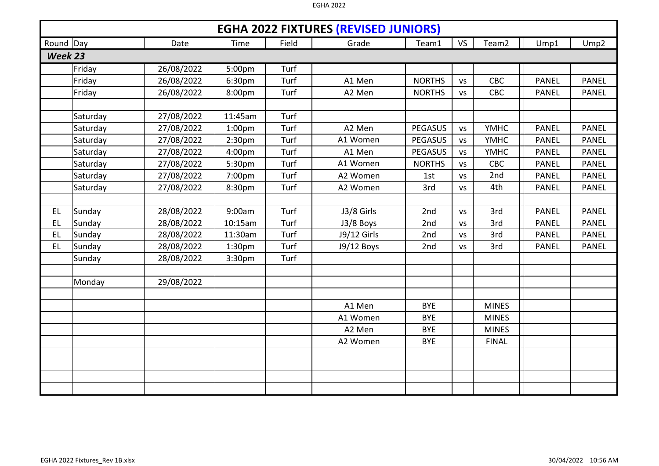|           | <b>EGHA 2022 FIXTURES (REVISED JUNIORS)</b> |            |                    |       |             |                |           |                   |              |                  |  |  |  |
|-----------|---------------------------------------------|------------|--------------------|-------|-------------|----------------|-----------|-------------------|--------------|------------------|--|--|--|
| Round Day |                                             | Date       | <b>Time</b>        | Field | Grade       | Team1          | <b>VS</b> | Team <sub>2</sub> | Ump1         | Ump <sub>2</sub> |  |  |  |
| Week 23   |                                             |            |                    |       |             |                |           |                   |              |                  |  |  |  |
|           | Friday                                      | 26/08/2022 | 5:00pm             | Turf  |             |                |           |                   |              |                  |  |  |  |
|           | Friday                                      | 26/08/2022 | 6:30pm             | Turf  | A1 Men      | <b>NORTHS</b>  | <b>VS</b> | <b>CBC</b>        | <b>PANEL</b> | <b>PANEL</b>     |  |  |  |
|           | Friday                                      | 26/08/2022 | 8:00pm             | Turf  | A2 Men      | <b>NORTHS</b>  | <b>VS</b> | CBC               | <b>PANEL</b> | <b>PANEL</b>     |  |  |  |
|           |                                             |            |                    |       |             |                |           |                   |              |                  |  |  |  |
|           | Saturday                                    | 27/08/2022 | 11:45am            | Turf  |             |                |           |                   |              |                  |  |  |  |
|           | Saturday                                    | 27/08/2022 | 1:00 <sub>pm</sub> | Turf  | A2 Men      | <b>PEGASUS</b> | <b>VS</b> | <b>YMHC</b>       | <b>PANEL</b> | <b>PANEL</b>     |  |  |  |
|           | Saturday                                    | 27/08/2022 | 2:30pm             | Turf  | A1 Women    | <b>PEGASUS</b> | <b>VS</b> | <b>YMHC</b>       | <b>PANEL</b> | <b>PANEL</b>     |  |  |  |
|           | Saturday                                    | 27/08/2022 | 4:00pm             | Turf  | A1 Men      | <b>PEGASUS</b> | VS        | <b>YMHC</b>       | <b>PANEL</b> | <b>PANEL</b>     |  |  |  |
|           | Saturday                                    | 27/08/2022 | 5:30pm             | Turf  | A1 Women    | <b>NORTHS</b>  | <b>VS</b> | CBC               | <b>PANEL</b> | <b>PANEL</b>     |  |  |  |
|           | Saturday                                    | 27/08/2022 | 7:00pm             | Turf  | A2 Women    | 1st            | VS        | 2nd               | <b>PANEL</b> | <b>PANEL</b>     |  |  |  |
|           | Saturday                                    | 27/08/2022 | 8:30pm             | Turf  | A2 Women    | 3rd            | <b>VS</b> | 4th               | <b>PANEL</b> | <b>PANEL</b>     |  |  |  |
|           |                                             |            |                    |       |             |                |           |                   |              |                  |  |  |  |
| EL        | Sunday                                      | 28/08/2022 | 9:00am             | Turf  | J3/8 Girls  | 2nd            | <b>VS</b> | 3rd               | <b>PANEL</b> | <b>PANEL</b>     |  |  |  |
| <b>EL</b> | Sunday                                      | 28/08/2022 | 10:15am            | Turf  | J3/8 Boys   | 2nd            | <b>VS</b> | 3rd               | <b>PANEL</b> | <b>PANEL</b>     |  |  |  |
| EL        | Sunday                                      | 28/08/2022 | 11:30am            | Turf  | J9/12 Girls | 2nd            | <b>VS</b> | 3rd               | <b>PANEL</b> | <b>PANEL</b>     |  |  |  |
| EL        | Sunday                                      | 28/08/2022 | 1:30pm             | Turf  | J9/12 Boys  | 2nd            | <b>VS</b> | 3rd               | <b>PANEL</b> | <b>PANEL</b>     |  |  |  |
|           | Sunday                                      | 28/08/2022 | 3:30pm             | Turf  |             |                |           |                   |              |                  |  |  |  |
|           |                                             |            |                    |       |             |                |           |                   |              |                  |  |  |  |
|           | Monday                                      | 29/08/2022 |                    |       |             |                |           |                   |              |                  |  |  |  |
|           |                                             |            |                    |       |             |                |           |                   |              |                  |  |  |  |
|           |                                             |            |                    |       | A1 Men      | <b>BYE</b>     |           | <b>MINES</b>      |              |                  |  |  |  |
|           |                                             |            |                    |       | A1 Women    | <b>BYE</b>     |           | <b>MINES</b>      |              |                  |  |  |  |
|           |                                             |            |                    |       | A2 Men      | <b>BYE</b>     |           | <b>MINES</b>      |              |                  |  |  |  |
|           |                                             |            |                    |       | A2 Women    | <b>BYE</b>     |           | <b>FINAL</b>      |              |                  |  |  |  |
|           |                                             |            |                    |       |             |                |           |                   |              |                  |  |  |  |
|           |                                             |            |                    |       |             |                |           |                   |              |                  |  |  |  |
|           |                                             |            |                    |       |             |                |           |                   |              |                  |  |  |  |
|           |                                             |            |                    |       |             |                |           |                   |              |                  |  |  |  |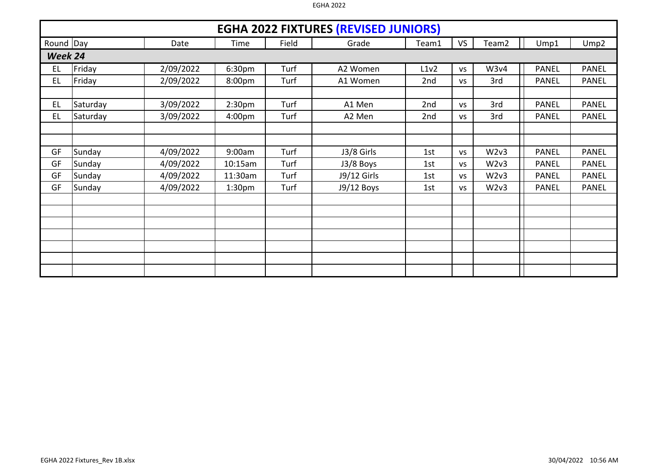|           | <b>EGHA 2022 FIXTURES (REVISED JUNIORS)</b> |           |                    |       |             |       |           |                   |              |                  |  |  |  |  |
|-----------|---------------------------------------------|-----------|--------------------|-------|-------------|-------|-----------|-------------------|--------------|------------------|--|--|--|--|
| Round Day |                                             | Date      | Time               | Field | Grade       | Team1 | <b>VS</b> | Team <sub>2</sub> | Ump1         | Ump <sub>2</sub> |  |  |  |  |
| Week 24   |                                             |           |                    |       |             |       |           |                   |              |                  |  |  |  |  |
| EL        | Friday                                      | 2/09/2022 | 6:30 <sub>pm</sub> | Turf  | A2 Women    | L1v2  | <b>VS</b> | W3v4              | <b>PANEL</b> | <b>PANEL</b>     |  |  |  |  |
| EL        | Friday                                      | 2/09/2022 | 8:00pm             | Turf  | A1 Women    | 2nd   | <b>VS</b> | 3rd               | <b>PANEL</b> | <b>PANEL</b>     |  |  |  |  |
|           |                                             |           |                    |       |             |       |           |                   |              |                  |  |  |  |  |
| EL        | Saturday                                    | 3/09/2022 | 2:30 <sub>pm</sub> | Turf  | A1 Men      | 2nd   | <b>VS</b> | 3rd               | <b>PANEL</b> | <b>PANEL</b>     |  |  |  |  |
| EL        | Saturday                                    | 3/09/2022 | 4:00 <sub>pm</sub> | Turf  | A2 Men      | 2nd   | <b>VS</b> | 3rd               | <b>PANEL</b> | <b>PANEL</b>     |  |  |  |  |
|           |                                             |           |                    |       |             |       |           |                   |              |                  |  |  |  |  |
|           |                                             |           |                    |       |             |       |           |                   |              |                  |  |  |  |  |
| GF        | Sunday                                      | 4/09/2022 | 9:00am             | Turf  | J3/8 Girls  | 1st   | <b>VS</b> | W2v3              | <b>PANEL</b> | <b>PANEL</b>     |  |  |  |  |
| GF        | Sunday                                      | 4/09/2022 | 10:15am            | Turf  | J3/8 Boys   | 1st   | <b>VS</b> | W2v3              | <b>PANEL</b> | <b>PANEL</b>     |  |  |  |  |
| GF        | Sunday                                      | 4/09/2022 | 11:30am            | Turf  | J9/12 Girls | 1st   | <b>VS</b> | W2v3              | <b>PANEL</b> | <b>PANEL</b>     |  |  |  |  |
| GF        | Sunday                                      | 4/09/2022 | 1:30 <sub>pm</sub> | Turf  | J9/12 Boys  | 1st   | <b>VS</b> | W2v3              | <b>PANEL</b> | <b>PANEL</b>     |  |  |  |  |
|           |                                             |           |                    |       |             |       |           |                   |              |                  |  |  |  |  |
|           |                                             |           |                    |       |             |       |           |                   |              |                  |  |  |  |  |
|           |                                             |           |                    |       |             |       |           |                   |              |                  |  |  |  |  |
|           |                                             |           |                    |       |             |       |           |                   |              |                  |  |  |  |  |
|           |                                             |           |                    |       |             |       |           |                   |              |                  |  |  |  |  |
|           |                                             |           |                    |       |             |       |           |                   |              |                  |  |  |  |  |
|           |                                             |           |                    |       |             |       |           |                   |              |                  |  |  |  |  |